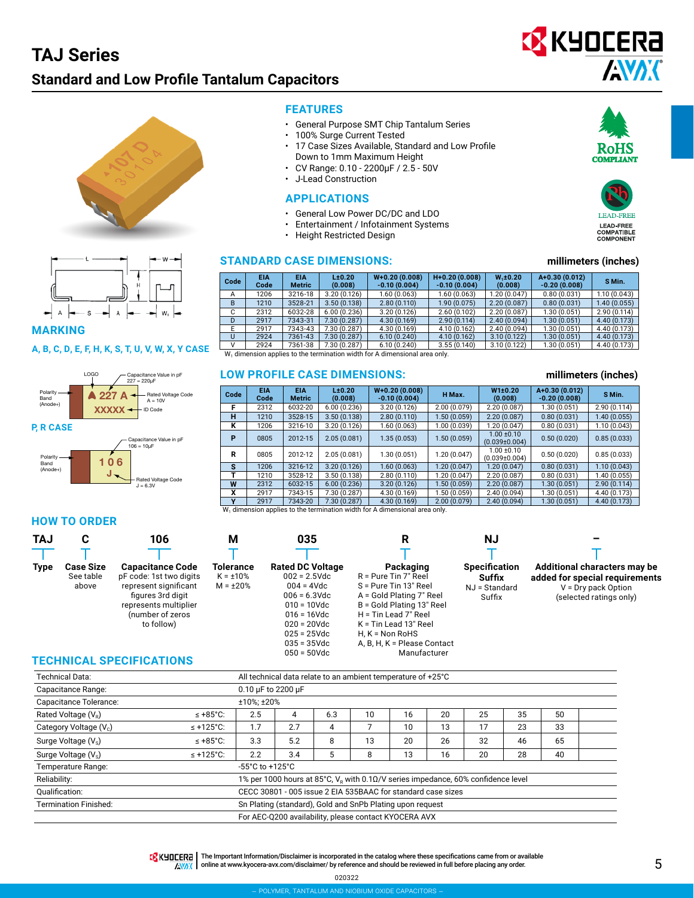## **TAJ Series**

### **Standard and Low Profile Tantalum Capacitors**







**MARKING**

#### **A, B, C, D, E, F, H, K, S, T, U, V, W, X, Y CASE**



 $J = 6.3V$ 

#### **HOW TO ORDER**

#### **TAJ Type C Case Size** See table above **M Tolerance**  $K = +10%$  $M = \pm 20%$ **R Packaging** R = Pure Tin 7" Reel S = Pure Tin 13" Reel A = Gold Plating 7" Reel B = Gold Plating 13" Reel H = Tin Lead 7" Reel K = Tin Lead 13" Reel H, K = Non RoHS A, B, H, K = Please Contact **NJ Specification Suffix** NJ = Standard Suffix **– Additional characters may be added for special requirements** V = Dry pack Option (selected ratings only) **106 Capacitance Code** pF code: 1st two digits represent significant figures 3rd digit represents multiplier (number of zeros to follow) **035 Rated DC Voltage**  $002 = 2.5$ Vdc 004 = 4Vdc  $006 = 6.3$ Vdc 010 = 10Vdc  $016 = 16$ Vdc 020 = 20Vdc 025 = 25Vdc 035 = 35Vdc

#### **TECHNICAL SPECIFICATIONS**

| Technical Data:                    |                                                              | All technical data relate to an ambient temperature of +25°C |     |     |    |    |    |                                                                                                   |    |    |  |
|------------------------------------|--------------------------------------------------------------|--------------------------------------------------------------|-----|-----|----|----|----|---------------------------------------------------------------------------------------------------|----|----|--|
| Capacitance Range:                 |                                                              | 0.10 µF to 2200 µF                                           |     |     |    |    |    |                                                                                                   |    |    |  |
| Capacitance Tolerance:             |                                                              | ±10%; ±20%                                                   |     |     |    |    |    |                                                                                                   |    |    |  |
| Rated Voltage (V <sub>R</sub> )    | $\leq$ +85°C:                                                | 2.5                                                          | 4   | 6.3 | 10 | 16 | 20 | 25                                                                                                | 35 | 50 |  |
| Category Voltage (V <sub>c</sub> ) | $\leq$ +125°C:                                               | 1.7                                                          | 2.7 | 4   |    | 10 | 13 | 17                                                                                                | 23 | 33 |  |
| Surge Voltage (V <sub>s</sub> )    | $\leq$ +85°C:                                                | 3.3                                                          | 5.2 | 8   | 13 | 20 | 26 | 32                                                                                                | 46 | 65 |  |
| Surge Voltage (V <sub>s</sub> )    | $\leq$ +125°C:                                               | 2.2<br>3.4<br>5<br>13<br>20<br>28<br>16<br>40<br>8           |     |     |    |    |    |                                                                                                   |    |    |  |
| Temperature Range:                 |                                                              | $-55^{\circ}$ C to $+125^{\circ}$ C                          |     |     |    |    |    |                                                                                                   |    |    |  |
| Reliability:                       |                                                              |                                                              |     |     |    |    |    | 1% per 1000 hours at 85°C, $V_{\rm P}$ with 0.1 $\Omega/V$ series impedance, 60% confidence level |    |    |  |
| Oualification:                     | CECC 30801 - 005 issue 2 EIA 535BAAC for standard case sizes |                                                              |     |     |    |    |    |                                                                                                   |    |    |  |
| <b>Termination Finished:</b>       | Sn Plating (standard), Gold and SnPb Plating upon request    |                                                              |     |     |    |    |    |                                                                                                   |    |    |  |
|                                    | For AEC-Q200 availability, please contact KYOCERA AVX        |                                                              |     |     |    |    |    |                                                                                                   |    |    |  |

050 = 50Vdc

#### TRINTERT | The Important Information/Disclaimer is incorporated in the catalog where these specifications came from or available

AWAX online at [www.kyocera-avx.com/disclaimer/](http://www.avx.com/disclaimer/) by reference and should be reviewed in full before placing any order.

020322





#### **STANDARD CASE DIMENSIONS: millimeters (inches)**

| Code | <b>EIA</b><br>Code | <b>EIA</b><br><b>Metric</b> | L±0.20<br>(0.008) | $W+0.20(0.008)$<br>$-0.10(0.004)$ | $H+0.20(0.008)$<br>$-0.10(0.004)$ | $W_{12}0.20$<br>(0.008) | $A+0.30(0.012)$<br>$-0.20(0.008)$ | S Min.       |
|------|--------------------|-----------------------------|-------------------|-----------------------------------|-----------------------------------|-------------------------|-----------------------------------|--------------|
| А    | 1206               | 3216-18                     | 3.20(0.126)       | 1.60(0.063)                       | 1.60(0.063)                       | 1.20(0.047)             | 0.80(0.031)                       | 1.10(0.043)  |
| B    | 1210               | 3528-21                     | 3.50(0.138)       | 2.80(0.110)                       | 1.90(0.075)                       | 2.20(0.087)             | 0.80(0.031)                       | 1.40(0.055)  |
| C    | 2312               | 6032-28                     | 6.00(0.236)       | 3.20(0.126)                       | 2.60(0.102)                       | 2.20(0.087)             | 1.30(0.051)                       | 2.90(0.114)  |
| D    | 2917               | 7343-31                     | 7.30 (0.287)      | 4.30(0.169)                       | 2.90(0.114)                       | 2.40(0.094)             | 1.30(0.051)                       | 4.40(0.173)  |
|      | 2917               | 7343-43                     | 7.30 (0.287)      | 4.30 (0.169)                      | 4.10 (0.162)                      | 2.40(0.094)             | 1.30(0.051)                       | 4.40 (0.173) |
| U    | 2924               | 7361-43                     | 7.30 (0.287)      | 6.10(0.240)                       | 4.10(0.162)                       | 3.10(0.122)             | 1.30(0.051)                       | 4.40(0.173)  |
| v    | 2924               | 7361-38                     | 7.30 (0.287)      | 6.10(0.240)                       | 3.55(0.140)                       | 3.10(0.122)             | 1.30(0.051)                       | 4.40 (0.173) |

 $W<sub>1</sub>$  dimension applies to the termination width for A dimensional area only.

#### **LOW PROFILE CASE DIMENSIONS: millimeters (inches)**

**FEATURES**

• General Purpose SMT Chip Tantalum Series

• 17 Case Sizes Available, Standard and Low Profile

• 100% Surge Current Tested

• J-Lead Construction **APPLICATIONS**

• Height Restricted Design

Down to 1mm Maximum Height • CV Range: 0.10 - 2200μF / 2.5 - 50V

• General Low Power DC/DC and LDO • Entertainment / Infotainment Systems

| $W+0.20(0.008)$<br>A+0.30 (0.012)<br>W1±0.20<br><b>EIA</b><br>L±0.20<br><b>EIA</b><br>Code<br>H Max.<br>Code<br>(0.008)<br>$-0.10(0.004)$<br>(0.008)<br>$-0.20(0.008)$<br><b>Metric</b><br>2.00(0.079)<br>3.20(0.126)<br>1.30(0.051)<br>F<br>6.00(0.236)<br>2.20(0.087)<br>6032-20<br>2312<br>н<br>3.50(0.138)<br>2.80(0.110)<br>2.20(0.087)<br>0.80(0.031)<br>3528-15<br>1.50(0.059)<br>1210 | S Min.<br>2.90(0.114)<br>1.40(0.055) |
|-----------------------------------------------------------------------------------------------------------------------------------------------------------------------------------------------------------------------------------------------------------------------------------------------------------------------------------------------------------------------------------------------|--------------------------------------|
|                                                                                                                                                                                                                                                                                                                                                                                               |                                      |
|                                                                                                                                                                                                                                                                                                                                                                                               |                                      |
|                                                                                                                                                                                                                                                                                                                                                                                               |                                      |
| 3.20(0.126)<br>0.80(0.031)<br>ĸ<br>1206<br>3216-10<br>1.60(0.063)<br>1.00 (0.039)<br>1.20(0.047)                                                                                                                                                                                                                                                                                              | 1.10(0.043)                          |
| $1.00 + 0.10$<br>P<br>2.05(0.081)<br>1.35(0.053)<br>1.50(0.059)<br>0.50(0.020)<br>2012-15<br>0805<br>$(0.039 \pm 0.004)$                                                                                                                                                                                                                                                                      | 0.85(0.033)                          |
| $1.00 + 0.10$<br>R<br>1.20 (0.047)<br>0.50(0.020)<br>2.05(0.081)<br>1.30 (0.051)<br>0805<br>2012-12<br>$(0.039 \pm 0.004)$                                                                                                                                                                                                                                                                    | 0.85(0.033)                          |
| s<br>3.20(0.126)<br>3216-12<br>1.20(0.047)<br>0.80(0.031)<br>1206<br>1.60(0.063)<br>1.20(0.047)                                                                                                                                                                                                                                                                                               | 1.10(0.043)                          |
| 3.50(0.138)<br>2.80(0.110)<br>1.20 (0.047)<br>2.20(0.087)<br>0.80(0.031)<br>1210<br>3528-12                                                                                                                                                                                                                                                                                                   | 1.40(0.055)                          |
| W<br>1.30(0.051)<br>2312<br>6032-15<br>6.00(0.236)<br>3.20(0.126)<br>1.50(0.059)<br>2.20(0.087)                                                                                                                                                                                                                                                                                               | 2.90(0.114)                          |
| x<br>7.30 (0.287)<br>4.30 (0.169)<br>1.50 (0.059)<br>2.40(0.094)<br>1.30 (0.051)<br>2917<br>7343-15                                                                                                                                                                                                                                                                                           | 4.40 (0.173)                         |
| v<br>2.00(0.079)<br>1.30(0.051)<br>2917<br>7.30 (0.287)<br>4.30(0.169)<br>2.40(0.094)<br>7343-20                                                                                                                                                                                                                                                                                              | 4.40(0.173)                          |

Manufacturer

lies to the termination width for A dimensional area only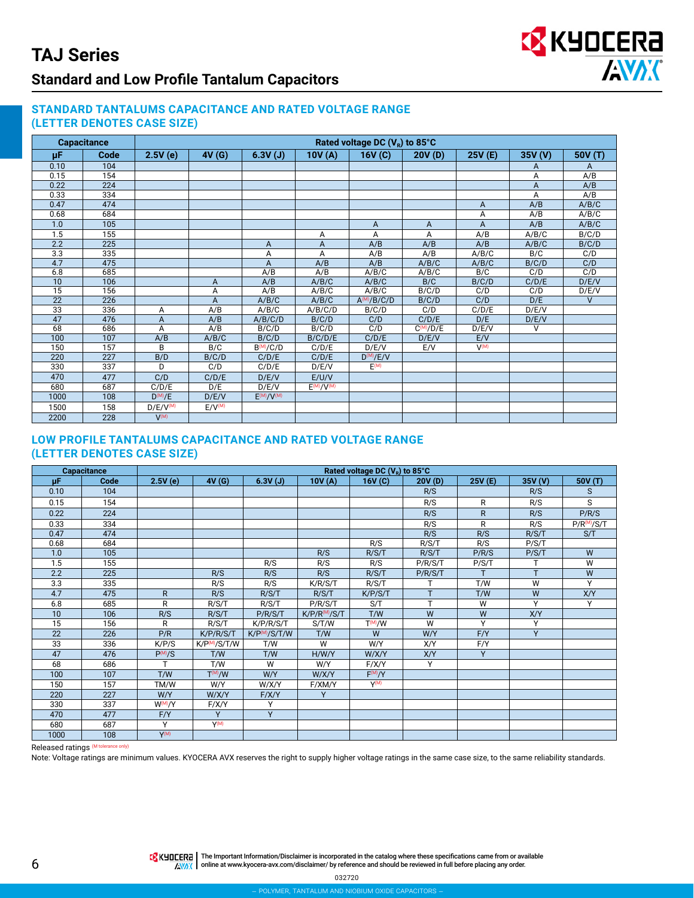#### **STANDARD TANTALUMS CAPACITANCE AND RATED VOLTAGE RANGE (LETTER DENOTES CASE SIZE)**

|                  | <b>Capacitance</b> | Rated voltage DC $(Ve)$ to 85°C |                    |               |                   |                 |               |           |                    |                |  |
|------------------|--------------------|---------------------------------|--------------------|---------------|-------------------|-----------------|---------------|-----------|--------------------|----------------|--|
| μF               | Code               | 2.5V(e)                         | 4V(G)              | 6.3V(J)       | 10V(A)            | 16V(G)          | 20V(D)        | 25V (E)   | 35V <sub>(V)</sub> | 50V(T)         |  |
| 0.10             | 104                |                                 |                    |               |                   |                 |               |           | A                  | A              |  |
| 0.15             | 154                |                                 |                    |               |                   |                 |               |           | A                  | A/B            |  |
| 0.22             | 224                |                                 |                    |               |                   |                 |               |           | A                  | A/B            |  |
| 0.33             | 334                |                                 |                    |               |                   |                 |               |           | A                  | A/B            |  |
| 0.47             | 474                |                                 |                    |               |                   |                 |               | A         | A/B                | A/B/C          |  |
| 0.68             | 684                |                                 |                    |               |                   |                 |               | Α         | A/B                | A/B/C          |  |
| 1.0              | 105                |                                 |                    |               |                   | A               | A             | Α         | A/B                | A/B/C          |  |
| 1.5              | 155                |                                 |                    |               | Α                 | Α               | Α             | A/B       | A/B/C              | B/C/D          |  |
| 2.2              | 225                |                                 |                    | A             | A                 | A/B             | A/B           | A/B       | A/B/C              | B/C/D          |  |
| $\overline{3.3}$ | 335                |                                 |                    | А             | A                 | A/B             | A/B           | A/B/C     | B/C                | C/D            |  |
| 4.7              | 475                |                                 |                    | A             | A/B               | A/B             | A/B/C         | A/B/C     | B/C/D              | C/D            |  |
| 6.8              | 685                |                                 |                    | A/B           | A/B               | A/B/C           | A/B/C         | B/C       | C/D                | C/D            |  |
| 10               | 106                |                                 | A                  | A/B           | A/B/C             | A/B/C           | B/C           | B/C/D     | C/D/E              | D/E/V          |  |
| $\overline{15}$  | 156                |                                 | A                  | A/B           | A/B/C             | A/B/C           | B/C/D         | C/D       | C/D                | D/E/V          |  |
| $\overline{22}$  | 226                |                                 | A                  | A/B/C         | A/B/C             | $A^{(M)}/B/C/D$ | B/C/D         | C/D       | D/E                | $\overline{V}$ |  |
| $\overline{33}$  | 336                | Α                               | A/B                | A/B/C         | A/B/C/D           | B/C/D           | C/D           | C/D/E     | D/E/V              |                |  |
| 47               | 476                | A                               | A/B                | A/B/C/D       | B/C/D             | C/D             | C/D/E         | D/E       | D/E/V              |                |  |
| 68               | 686                | A                               | A/B                | B/C/D         | B/C/D             | C/D             | $C^{(M)}/D/E$ | D/E/V     | V                  |                |  |
| 100              | 107                | A/B                             | A/B/C              | B/C/D         | B/C/D/E           | C/D/E           | D/E/V         | E/V       |                    |                |  |
| 150              | 157                | B                               | B/C                | $B^{(M)}/C/D$ | C/D/E             | D/E/V           | E/V           | $V^{(M)}$ |                    |                |  |
| 220              | 227                | B/D                             | B/C/D              | C/D/E         | C/D/E             | $D^{(M)}/E/V$   |               |           |                    |                |  |
| 330              | 337                | D                               | C/D                | C/D/E         | D/E/V             | E(M)            |               |           |                    |                |  |
| 470              | 477                | C/D                             | C/D/E              | D/E/V         | E/UV              |                 |               |           |                    |                |  |
| 680              | 687                | C/D/E                           | D/E                | D/E/V         | $E^{(M)}/V^{(M)}$ |                 |               |           |                    |                |  |
| 1000             | 108                | $D^{(M)}/E$                     | D/E/V              | E(M)/V(M)     |                   |                 |               |           |                    |                |  |
| 1500             | 158                | D/E/V <sup>(M)</sup>            | E/V <sup>(M)</sup> |               |                   |                 |               |           |                    |                |  |
| 2200             | 228                | $V^{(M)}$                       |                    |               |                   |                 |               |           |                    |                |  |

#### **LOW PROFILE TANTALUMS CAPACITANCE AND RATED VOLTAGE RANGE (LETTER DENOTES CASE SIZE)**

|      | Capacitance |                     |                   |                           |                           | Rated voltage DC $(V_R)$ to 85°C |         |              |         |                         |
|------|-------------|---------------------|-------------------|---------------------------|---------------------------|----------------------------------|---------|--------------|---------|-------------------------|
| μF   | Code        | 2.5V(e)             | AV(G)             | 6.3V(J)                   | 10V(A)                    | 16V(C)                           | 20V(D)  | 25V (E)      | 35V (V) | 50V (T)                 |
| 0.10 | 104         |                     |                   |                           |                           |                                  | R/S     |              | R/S     | S                       |
| 0.15 | 154         |                     |                   |                           |                           |                                  | R/S     | R            | R/S     | S                       |
| 0.22 | 224         |                     |                   |                           |                           |                                  | R/S     | $\mathsf{R}$ | R/S     | P/R/S                   |
| 0.33 | 334         |                     |                   |                           |                           |                                  | R/S     | R            | R/S     | P/R <sup>(M)</sup> /S/T |
| 0.47 | 474         |                     |                   |                           |                           |                                  | R/S     | R/S          | R/S/T   | S/T                     |
| 0.68 | 684         |                     |                   |                           |                           | R/S                              | R/S/T   | R/S          | P/S/T   |                         |
| 1.0  | 105         |                     |                   |                           | R/S                       | R/S/T                            | R/S/T   | P/R/S        | P/S/T   | W                       |
| 1.5  | 155         |                     |                   | R/S                       | R/S                       | R/S                              | P/R/S/T | P/S/T        | T       | W                       |
| 2.2  | 225         |                     | R/S               | R/S                       | R/S                       | R/S/T                            | P/R/S/T |              | T       | W                       |
| 3.3  | 335         |                     | R/S               | R/S                       | K/R/S/T                   | R/S/T                            |         | T/W          | W       | Υ                       |
| 4.7  | 475         | $\mathsf{R}$        | R/S               | R/S/T                     | R/S/T                     | K/P/S/T                          |         | T/W          | W       | X/Y                     |
| 6.8  | 685         | R                   | R/S/T             | R/S/T                     | P/R/S/T                   | S/T                              | T       | W            | Υ       | Y                       |
| 10   | 106         | R/S                 | R/S/T             | P/R/S/T                   | K/P/R <sup>(M)</sup> /S/T | T/W                              | W       | W            | X/Y     |                         |
| 15   | 156         | R                   | R/S/T             | K/P/R/S/T                 | S/T/W                     | $T^{(M)}/W$                      | W       | Y            | Υ       |                         |
| 22   | 226         | P/R                 | K/P/R/S/T         | K/P <sup>(M)</sup> /S/T/W | T/W                       | W                                | W/Y     | F/Y          | Y       |                         |
| 33   | 336         | K/P/S               | $K/P^{(M)}/S/T/W$ | T/W                       | W                         | W/Y                              | X/Y     | F/Y          |         |                         |
| 47   | 476         | $P^{(M)}/S$         | T/W               | T/W                       | H/W/Y                     | W/X/Y                            | X/Y     | Y            |         |                         |
| 68   | 686         | T                   | T/W               | W                         | W/Y                       | F/X/Y                            | Y       |              |         |                         |
| 100  | 107         | T/W                 | $T^{(M)}/W$       | W/Y                       | W/X/Y                     | $F^{(M)}/Y$                      |         |              |         |                         |
| 150  | 157         | TM/W                | W/Y               | W/X/Y                     | F/XM/Y                    | $Y^{(M)}$                        |         |              |         |                         |
| 220  | 227         | W/Y                 | W/X/Y             | F/X/Y                     | Y                         |                                  |         |              |         |                         |
| 330  | 337         | W <sub>(M)</sub> /Y | F/X/Y             | Υ                         |                           |                                  |         |              |         |                         |
| 470  | 477         | F/Y                 | Y                 | Y                         |                           |                                  |         |              |         |                         |
| 680  | 687         | Y                   | $Y^{(M)}$         |                           |                           |                                  |         |              |         |                         |
| 1000 | 108         | $Y^{(M)}$           |                   |                           |                           |                                  |         |              |         |                         |

Released ratings (M tolerance only)

Note: Voltage ratings are minimum values. KYOCERA AVX reserves the right to supply higher voltage ratings in the same case size, to the same reliability standards.

THE IMPO THE Important Information/Disclaimer is incorporated in the catalog where these specifications came from or available AVAX online at [www.kyocera-avx.com/disclaimer/](http://www.kyocera-avx.com/disclaimer/) by reference and should be reviewed in full before placing any order.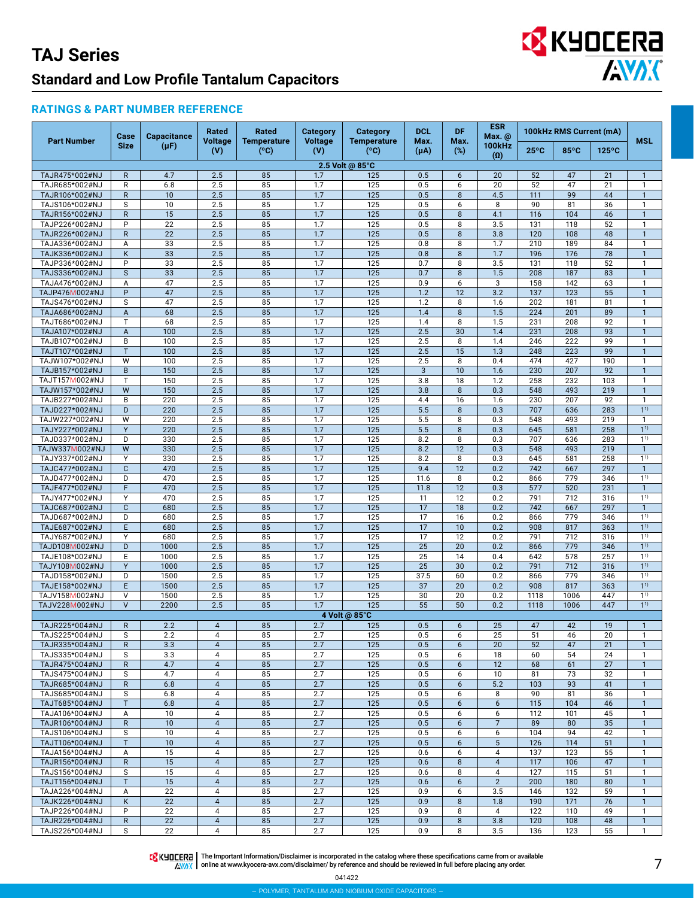# EX KYOCERA

#### **RATINGS & PART NUMBER REFERENCE**

|                                  | Case                        | <b>Capacitance</b>    | Rated<br>Voltage    | Rated                      | <b>Category</b><br><b>Voltage</b> | Category<br><b>Temperature</b> | <b>DCL</b><br>Max.      | <b>DF</b><br>Max. | <b>ESR</b><br>Max. @        |                | 100kHz RMS Current (mA) |                 | <b>MSL</b>                       |
|----------------------------------|-----------------------------|-----------------------|---------------------|----------------------------|-----------------------------------|--------------------------------|-------------------------|-------------------|-----------------------------|----------------|-------------------------|-----------------|----------------------------------|
| <b>Part Number</b>               | <b>Size</b>                 | $(\mu F)$             | (V)                 | <b>Temperature</b><br>(°C) | (V)                               | (°C)                           | $(\mu A)$               | $(\%)$            | <b>100kHz</b><br>$(\Omega)$ | $25^{\circ}$ C | 85°C                    | $125^{\circ}$ C |                                  |
|                                  |                             |                       |                     |                            |                                   | 2.5 Volt @ 85°C                |                         |                   |                             |                |                         |                 |                                  |
| TAJR475*002#NJ                   | $\mathsf{R}$                | 4.7<br>6.8            | 2.5                 | 85<br>85                   | 1.7<br>1.7                        | 125                            | 0.5                     | 6<br>6            | 20                          | 52             | 47<br>47                | 21              | $\mathbf{1}$<br>$\mathbf{1}$     |
| TAJR685*002#NJ<br>TAJR106*002#NJ | $\mathsf R$<br>$\mathsf{R}$ | 10                    | 2.5<br>2.5          | 85                         | 1.7                               | 125<br>125                     | 0.5<br>0.5              | 8                 | 20<br>4.5                   | 52<br>111      | 99                      | 21<br>44        | $\mathbf{1}$                     |
| TAJS106*002#NJ                   | S                           | 10                    | 2.5                 | 85                         | 1.7                               | 125                            | 0.5                     | 6                 | 8                           | 90             | 81                      | 36              | $\mathbf{1}$                     |
| TAJR156*002#NJ                   | $\mathsf{R}$                | 15                    | 2.5                 | 85                         | 1.7                               | 125                            | 0.5                     | 8                 | 4.1                         | 116            | 104                     | 46              | $\mathbf{1}$                     |
| TAJP226*002#NJ                   | P                           | $\overline{22}$       | 2.5                 | 85                         | 1.7                               | 125                            | 0.5                     | 8                 | 3.5                         | 131            | 118                     | 52              | $\mathbf{1}$                     |
| TAJR226*002#NJ                   | $\mathsf{R}$                | 22                    | 2.5                 | 85                         | 1.7                               | 125                            | 0.5                     | 8                 | 3.8                         | 120            | 108                     | 48              | $\mathbf{1}$                     |
| TAJA336*002#NJ<br>TAJK336*002#NJ | Α<br>K                      | 33<br>$\overline{33}$ | 2.5<br>2.5          | 85<br>85                   | 1.7<br>1.7                        | 125<br>125                     | 0.8<br>0.8              | 8<br>8            | 1.7<br>1.7                  | 210<br>196     | 189<br>176              | 84<br>78        | $\mathbf{1}$<br>$\mathbf{1}$     |
| TAJP336*002#NJ                   | P                           | 33                    | 2.5                 | 85                         | 1.7                               | 125                            | 0.7                     | 8                 | 3.5                         | 131            | 118                     | 52              | $\mathbf{1}$                     |
| TAJS336*002#NJ                   | $\mathsf{s}$                | 33                    | 2.5                 | 85                         | 1.7                               | 125                            | 0.7                     | 8                 | 1.5                         | 208            | 187                     | 83              | $\overline{1}$                   |
| TAJA476*002#NJ                   | $\overline{A}$              | 47                    | 2.5                 | 85                         | 1.7                               | 125                            | 0.9                     | 6                 | 3                           | 158            | 142                     | 63              | $\mathbf{1}$                     |
| TAJP476M002#NJ                   | P<br>S                      | 47<br>47              | 2.5<br>2.5          | 85<br>85                   | 1.7<br>1.7                        | $\overline{125}$               | 1.2<br>1.2              | 12<br>8           | 3.2<br>1.6                  | 137<br>202     | 123<br>181              | 55<br>81        | $\mathbf{1}$<br>$\mathbf{1}$     |
| TAJS476*002#NJ<br>TAJA686*002#NJ | $\overline{A}$              | 68                    | 2.5                 | 85                         | 1.7                               | 125<br>125                     | 1.4                     | 8                 | 1.5                         | 224            | 201                     | 89              | $\mathbf{1}$                     |
| TAJT686*002#NJ                   | T                           | 68                    | 2.5                 | 85                         | 1.7                               | 125                            | 1.4                     | 8                 | 1.5                         | 231            | 208                     | 92              | $\mathbf{1}$                     |
| TAJA107*002#NJ                   | $\overline{A}$              | 100                   | 2.5                 | 85                         | 1.7                               | 125                            | 2.5                     | 30                | 1.4                         | 231            | 208                     | 93              | $\mathbf{1}$                     |
| TAJB107*002#NJ                   | B                           | 100                   | 2.5                 | 85                         | 1.7                               | 125                            | 2.5                     | 8                 | 1.4                         | 246            | 222                     | 99              | $\mathbf{1}$                     |
| TAJT107*002#NJ                   | T<br>W                      | 100<br>100            | 2.5<br>2.5          | 85<br>85                   | 1.7<br>1.7                        | 125<br>125                     | 2.5                     | 15<br>8           | 1.3<br>0.4                  | 248<br>474     | 223<br>427              | 99<br>190       | $\mathbf{1}$<br>$\mathbf{1}$     |
| TAJW107*002#NJ<br>TAJB157*002#NJ | B                           | 150                   | 2.5                 | 85                         | 1.7                               | 125                            | 2.5<br>$\overline{3}$   | 10                | 1.6                         | 230            | 207                     | 92              | $\mathbf{1}$                     |
| TAJT157M002#NJ                   | $\mathsf{T}$                | 150                   | 2.5                 | 85                         | 1.7                               | 125                            | 3.8                     | 18                | 1.2                         | 258            | 232                     | 103             | $\mathbf{1}$                     |
| TAJW157*002#NJ                   | W                           | 150                   | 2.5                 | 85                         | 1.7                               | 125                            | 3.8                     | 8                 | 0.3                         | 548            | 493                     | 219             | $\mathbf{1}$                     |
| TAJB227*002#NJ                   | B                           | 220                   | 2.5                 | 85                         | 1.7                               | 125                            | 4.4                     | 16                | 1.6                         | 230            | 207                     | 92              | $\mathbf{1}$                     |
| TAJD227*002#NJ<br>TAJW227*002#NJ | D<br>W                      | 220<br>220            | 2.5<br>2.5          | 85<br>85                   | 1.7<br>1.7                        | 125<br>125                     | $\overline{5.5}$<br>5.5 | 8<br>8            | 0.3<br>0.3                  | 707<br>548     | 636<br>493              | 283<br>219      | 1 <sup>1</sup><br>$\mathbf{1}$   |
| TAJY227*002#NJ                   | Y                           | 220                   | 2.5                 | 85                         | 1.7                               | 125                            | 5.5                     | 8                 | 0.3                         | 645            | 581                     | 258             | 1 <sup>1</sup>                   |
| TAJD337*002#NJ                   | D                           | 330                   | 2.5                 | 85                         | 1.7                               | 125                            | 8.2                     | 8                 | 0.3                         | 707            | 636                     | 283             | $1^{1}$                          |
| TAJW337M002#NJ                   | W                           | 330                   | 2.5                 | 85                         | 1.7                               | 125                            | 8.2                     | 12                | 0.3                         | 548            | 493                     | 219             | $\mathbf{1}$                     |
| TAJY337*002#NJ                   | Y                           | 330                   | 2.5                 | 85                         | 1.7                               | 125                            | 8.2                     | 8                 | 0.3                         | 645            | 581                     | 258             | $1^{1}$                          |
| TAJC477*002#NJ<br>TAJD477*002#NJ | $\mathbf C$<br>D            | 470<br>470            | 2.5<br>2.5          | 85<br>85                   | 1.7<br>1.7                        | 125<br>125                     | 9.4<br>11.6             | 12<br>8           | 0.2<br>0.2                  | 742<br>866     | 667<br>779              | 297<br>346      | $\mathbf{1}$<br>1 <sup>1</sup>   |
| TAJF477*002#NJ                   | F                           | 470                   | 2.5                 | 85                         | 1.7                               | 125                            | 11.8                    | 12                | 0.3                         | 577            | 520                     | 231             | $\mathbf{1}$                     |
| TAJY477*002#NJ                   | Y                           | 470                   | 2.5                 | 85                         | 1.7                               | 125                            | 11                      | 12                | 0.2                         | 791            | 712                     | 316             | 1 <sup>1</sup>                   |
| TAJC687*002#NJ                   | $\mathbf{C}$                | 680                   | 2.5                 | 85                         | 1.7                               | 125                            | 17                      | 18                | 0.2                         | 742            | 667                     | 297             | $\mathbf{1}$                     |
| TAJD687*002#NJ                   | D                           | 680                   | 2.5                 | 85                         | 1.7                               | 125                            | 17                      | 16                | 0.2                         | 866            | 779                     | 346             | 11)                              |
| TAJE687*002#NJ<br>TAJY687*002#NJ | E<br>Y                      | 680<br>680            | 2.5<br>2.5          | 85<br>85                   | 1.7<br>1.7                        | 125<br>125                     | 17<br>17                | 10<br>12          | 0.2<br>0.2                  | 908<br>791     | 817<br>712              | 363<br>316      | 1 <sup>1</sup><br>11)            |
| TAJD108M002#NJ                   | D                           | 1000                  | 2.5                 | 85                         | 1.7                               | 125                            | $\overline{25}$         | 20                | 0.2                         | 866            | 779                     | 346             | 1 <sup>1</sup>                   |
| TAJE108*002#NJ                   | E                           | 1000                  | 2.5                 | 85                         | 1.7                               | 125                            | $\overline{25}$         | 14                | 0.4                         | 642            | 578                     | 257             | 11)                              |
| TAJY108M002#NJ                   | Y                           | 1000                  | 2.5                 | 85                         | 1.7                               | 125                            | $\overline{25}$         | $\overline{30}$   | 0.2                         | 791            | 712                     | 316             | 1 <sup>1</sup>                   |
| TAJD158*002#NJ<br>TAJE158*002#NJ | D<br>E                      | 1500<br>1500          | 2.5<br>2.5          | 85<br>85                   | 1.7<br>1.7                        | 125<br>125                     | 37.5<br>37              | 60<br>20          | 0.2<br>0.2                  | 866<br>908     | 779<br>817              | 346<br>363      | 1 <sup>1</sup><br>1 <sup>1</sup> |
| TAJV158M002#NJ                   | $\vee$                      | 1500                  | 2.5                 | 85                         | 1.7                               | 125                            | 30                      | 20                | 0.2                         | 1118           | 1006                    | 447             | 11)                              |
| TAJV228M002#NJ                   | $\vee$                      | 2200                  | 2.5                 | 85                         | 1.7                               | 125                            | 55                      | 50                | 0.2                         | 1118           | 1006                    | 447             | 1 <sup>1</sup>                   |
|                                  |                             |                       |                     |                            |                                   | 4 Volt @ 85°C                  |                         |                   |                             |                |                         |                 |                                  |
| TAJR225*004#NJ                   | $\mathsf{R}$                | 2.2                   | $\overline{4}$      | 85                         | 2.7                               | 125                            | 0.5                     | 6                 | 25                          | 47             | 42                      | 19              | $\mathbf{1}$                     |
| TAJS225*004#NJ<br>TAJR335*004#NJ | S<br>$\mathsf{R}$           | 2.2<br>3.3            | 4<br>$\overline{4}$ | 85<br>85                   | 2.7<br>2.7                        | 125<br>125                     | 0.5<br>0.5              | 6<br>6            | 25<br>20                    | 51<br>52       | 46<br>47                | 20<br>21        | -1<br>$\mathbf{1}$               |
| TAJS335*004#NJ                   | S                           | 3.3                   | 4                   | 85                         | 2.7                               | 125                            | 0.5                     | 6                 | 18                          | 60             | 54                      | 24              | $\mathbf{1}$                     |
| TAJR475*004#NJ                   | $\mathsf{R}$                | 4.7                   | $\overline{4}$      | 85                         | 2.7                               | 125                            | 0.5                     | 6                 | 12                          | 68             | 61                      | 27              | $\mathbf{1}$                     |
| TAJS475*004#NJ                   | S                           | 4.7                   | 4                   | 85                         | 2.7                               | 125                            | 0.5                     | 6                 | 10                          | 81             | 73                      | 32              | $\mathbf{1}$                     |
| TAJR685*004#NJ                   | $\mathsf{R}$                | 6.8                   | $\overline{4}$      | 85                         | 2.7                               | 125                            | 0.5                     | 6                 | 5.2                         | 103<br>90      | 93                      | 41              | $\mathbf{1}$                     |
| TAJS685*004#NJ<br>TAJT685*004#NJ | S<br>T                      | 6.8<br>6.8            | 4<br>$\overline{4}$ | 85<br>85                   | 2.7<br>2.7                        | 125<br>125                     | 0.5<br>0.5              | 6<br>6            | 8<br>6                      | 115            | 81<br>104               | 36<br>46        | $\mathbf{1}$<br>$\mathbf{1}$     |
| TAJA106*004#NJ                   | Α                           | 10                    | $\overline{4}$      | 85                         | 2.7                               | 125                            | 0.5                     | 6                 | 6                           | 112            | 101                     | 45              | $\mathbf{1}$                     |
| TAJR106*004#NJ                   | $\mathsf{R}$                | 10                    | $\overline{4}$      | 85                         | 2.7                               | 125                            | 0.5                     | 6                 | $\overline{7}$              | 89             | 80                      | 35              | $\mathbf{1}$                     |
| TAJS106*004#NJ                   | S                           | 10                    | 4                   | 85                         | 2.7                               | 125                            | 0.5                     | 6                 | 6                           | 104            | 94                      | 42              | $\mathbf{1}$                     |
| TAJT106*004#NJ                   | T                           | 10                    | $\overline{4}$<br>4 | 85<br>85                   | 2.7<br>2.7                        | 125                            | 0.5                     | 6                 | 5<br>4                      | 126<br>137     | 114                     | 51              | $\mathbf{1}$<br>$\mathbf{1}$     |
| TAJA156*004#NJ<br>TAJR156*004#NJ | Α<br>$\mathsf{R}$           | 15<br>15              | $\overline{4}$      | 85                         | 2.7                               | 125<br>125                     | 0.6<br>0.6              | 6<br>8            | $\overline{4}$              | 117            | 123<br>106              | 55<br>47        | $\mathbf{1}$                     |
| TAJS156*004#NJ                   | S                           | 15                    | 4                   | 85                         | 2.7                               | 125                            | 0.6                     | 8                 | $\overline{4}$              | 127            | 115                     | 51              | $\mathbf{1}$                     |
| TAJT156*004#NJ                   | T                           | 15                    | $\overline{4}$      | 85                         | 2.7                               | 125                            | 0.6                     | 6                 | $\overline{2}$              | 200            | 180                     | 80              | $\mathbf{1}$                     |
| TAJA226*004#NJ                   | Α                           | 22                    | 4                   | 85                         | 2.7                               | 125                            | 0.9                     | 6                 | 3.5                         | 146            | 132                     | 59              | $\mathbf{1}$                     |
| TAJK226*004#NJ<br>TAJP226*004#NJ | K<br>P                      | 22<br>22              | $\overline{4}$<br>4 | 85<br>85                   | 2.7<br>2.7                        | 125<br>125                     | 0.9<br>0.9              | 8<br>8            | 1.8<br>$\overline{4}$       | 190<br>122     | 171<br>110              | 76<br>49        | $\mathbf{1}$<br>$\mathbf{1}$     |
| TAJR226*004#NJ                   | $\mathsf{R}$                | 22                    | $\overline{4}$      | 85                         | 2.7                               | 125                            | 0.9                     | 8                 | 3.8                         | 120            | 108                     | 48              | $\mathbf{1}$                     |
| TAJS226*004#NJ                   | S                           | 22                    | 4                   | 85                         | 2.7                               | 125                            | 0.9                     | 8                 | 3.5                         | 136            | 123                     | 55              | $\mathbf{1}$                     |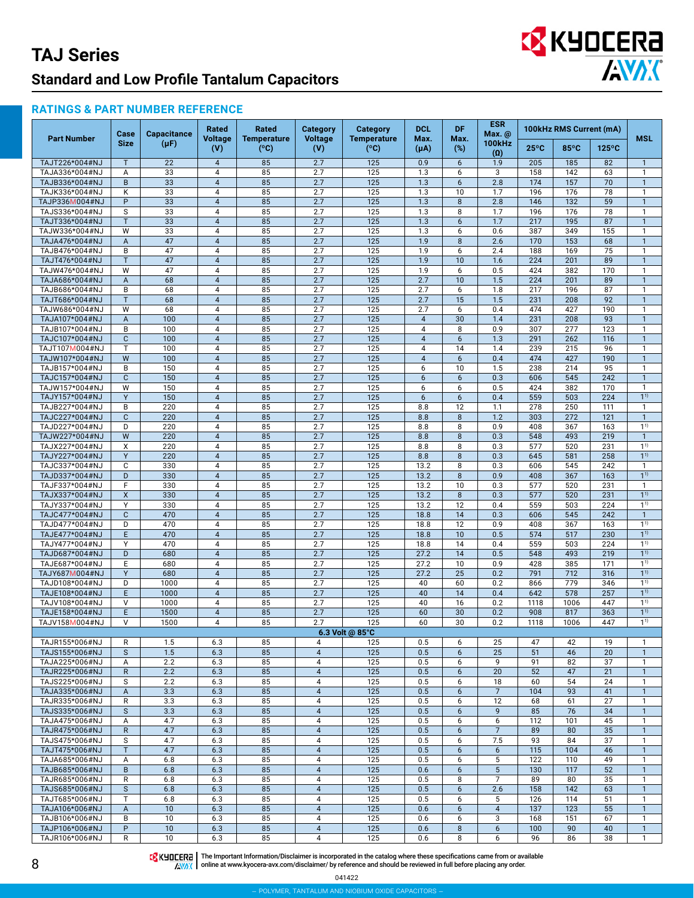# EX KYOCERA

#### **RATINGS & PART NUMBER REFERENCE**

|                                  | Case              | <b>Capacitance</b> | Rated                            | Rated                      | <b>Category</b>                  | <b>Category</b>                     | <b>DCL</b>        | <b>DF</b>            | ESR<br>Max. @                      |                | 100kHz RMS Current (mA) |                 |                                  |
|----------------------------------|-------------------|--------------------|----------------------------------|----------------------------|----------------------------------|-------------------------------------|-------------------|----------------------|------------------------------------|----------------|-------------------------|-----------------|----------------------------------|
| <b>Part Number</b>               | <b>Size</b>       | $(\mu F)$          | <b>Voltage</b><br>(V)            | <b>Temperature</b><br>(°C) | <b>Voltage</b><br>(V)            | <b>Temperature</b><br>$(^{\circ}C)$ | Max.<br>$(\mu A)$ | Max.<br>(%)          | <b>100kHz</b><br>$\left( 0\right)$ | $25^{\circ}$ C | 85°C                    | $125^{\circ}$ C | <b>MSL</b>                       |
| TAJT226*004#NJ                   | $\mathsf{T}$      | 22                 | $\overline{4}$                   | 85                         | 2.7                              | 125                                 | 0.9               | 6                    | 1.9                                | 205            | 185                     | 82              | $\mathbf{1}$                     |
| TAJA336*004#NJ                   | Α                 | 33                 | 4                                | 85                         | 2.7                              | 125                                 | 1.3               | 6                    | 3                                  | 158            | 142                     | 63              | 1                                |
| TAJB336*004#NJ                   | B                 | 33                 | $\overline{4}$                   | 85                         | 2.7                              | 125                                 | 1.3               | $6\phantom{1}$       | 2.8                                | 174            | 157                     | 70              | $\mathbf{1}$                     |
| TAJK336*004#NJ                   | Κ                 | 33                 | 4                                | 85                         | 2.7                              | 125                                 | 1.3               | 10                   | 1.7                                | 196            | 176                     | 78              | $\mathbf{1}$                     |
| TAJP336M004#NJ                   | P                 | 33                 | $\overline{4}$                   | 85                         | 2.7                              | 125                                 | 1.3               | 8                    | 2.8                                | 146            | 132                     | 59              | $\mathbf{1}$                     |
| TAJS336*004#NJ<br>TAJT336*004#NJ | S<br>T            | 33<br>33           | 4<br>$\overline{4}$              | 85<br>85                   | 2.7<br>2.7                       | 125<br>125                          | 1.3<br>1.3        | 8<br>6               | 1.7<br>1.7                         | 196<br>217     | 176<br>195              | 78<br>87        | $\mathbf{1}$<br>$\mathbf{1}$     |
| TAJW336*004#NJ                   | W                 | $\overline{33}$    | $\overline{4}$                   | 85                         | 2.7                              | 125                                 | 1.3               | 6                    | 0.6                                | 387            | 349                     | 155             | $\mathbf{1}$                     |
| TAJA476*004#NJ                   | A                 | 47                 | $\overline{4}$                   | 85                         | 2.7                              | 125                                 | 1.9               | 8                    | 2.6                                | 170            | 153                     | 68              | $\mathbf{1}$                     |
| TAJB476*004#NJ                   | B                 | 47                 | 4                                | 85                         | 2.7                              | 125                                 | 1.9               | 6                    | 2.4                                | 188            | 169                     | 75              | $\mathbf{1}$                     |
| TAJT476*004#NJ                   | $\mathsf{T}$      | 47                 | $\overline{4}$                   | 85                         | 2.7                              | 125                                 | 1.9               | 10                   | 1.6                                | 224            | 201                     | 89              | $\mathbf{1}$                     |
| TAJW476*004#NJ                   | W                 | 47                 | 4                                | 85                         | 2.7                              | 125                                 | 1.9               | 6                    | 0.5                                | 424            | 382                     | 170             | $\mathbf{1}$                     |
| TAJA686*004#NJ                   | A                 | 68                 | $\overline{4}$                   | 85                         | 2.7                              | 125                                 | 2.7               | 10                   | 1.5                                | 224            | 201                     | 89              | $\mathbf{1}$                     |
| TAJB686*004#NJ                   | B<br>$\mathsf{T}$ | 68<br>68           | 4<br>$\overline{4}$              | 85<br>85                   | 2.7<br>2.7                       | 125<br>125                          | 2.7<br>2.7        | 6<br>15              | 1.8<br>1.5                         | 217<br>231     | 196<br>208              | 87<br>92        | $\mathbf{1}$<br>$\mathbf{1}$     |
| TAJT686*004#NJ<br>TAJW686*004#NJ | W                 | 68                 | $\overline{4}$                   | 85                         | 2.7                              | 125                                 | 2.7               | 6                    | 0.4                                | 474            | 427                     | 190             | $\mathbf{1}$                     |
| TAJA107*004#NJ                   | A                 | 100                | $\overline{4}$                   | 85                         | 2.7                              | 125                                 | $\overline{4}$    | 30                   | 1.4                                | 231            | 208                     | 93              | $\mathbf{1}$                     |
| TAJB107*004#NJ                   | B                 | 100                | 4                                | 85                         | 2.7                              | 125                                 | 4                 | 8                    | 0.9                                | 307            | 277                     | 123             | $\mathbf{1}$                     |
| TAJC107*004#NJ                   | $\mathbf{C}$      | 100                | $\overline{4}$                   | 85                         | 2.7                              | 125                                 | $\sqrt{4}$        | $6\phantom{1}$       | 1.3                                | 291            | 262                     | 116             | $\mathbf{1}$                     |
| TAJT107M004#NJ                   | T                 | 100                | 4                                | 85                         | 2.7                              | 125                                 | 4                 | 14                   | 1.4                                | 239            | 215                     | 96              | $\mathbf{1}$                     |
| TAJW107*004#NJ                   | W                 | 100                | $\overline{4}$                   | 85                         | 2.7                              | 125                                 | $\overline{4}$    | 6                    | 0.4                                | 474            | 427                     | 190             | $\mathbf{1}$                     |
| TAJB157*004#NJ                   | B                 | 150                | $\overline{4}$<br>$\overline{4}$ | 85                         | 2.7                              | 125                                 | 6                 | 10                   | 1.5                                | 238            | 214                     | 95              | $\mathbf{1}$                     |
| TAJC157*004#NJ<br>TAJW157*004#NJ | $\mathbf{C}$<br>W | 150<br>150         | $\overline{4}$                   | 85<br>85                   | 2.7<br>2.7                       | 125<br>125                          | 6<br>6            | $6\overline{6}$<br>6 | 0.3<br>0.5                         | 606<br>424     | 545<br>382              | 242<br>170      | $\mathbf{1}$<br>$\mathbf{1}$     |
| TAJY157*004#NJ                   | Y                 | 150                | $\overline{4}$                   | 85                         | 2.7                              | 125                                 | 6                 | 6                    | 0.4                                | 559            | 503                     | 224             | 1 <sup>1</sup>                   |
| TAJB227*004#NJ                   | B                 | 220                | 4                                | 85                         | 2.7                              | 125                                 | 8.8               | 12                   | 1.1                                | 278            | 250                     | 111             | $\mathbf{1}$                     |
| TAJC227*004#NJ                   | $\mathsf{C}$      | 220                | $\overline{4}$                   | 85                         | 2.7                              | 125                                 | 8.8               | 8                    | 1.2                                | 303            | 272                     | 121             | $\overline{1}$                   |
| TAJD227*004#NJ                   | D                 | 220                | 4                                | 85                         | 2.7                              | 125                                 | 8.8               | 8                    | 0.9                                | 408            | 367                     | 163             | 1 <sup>1</sup>                   |
| TAJW227*004#NJ                   | W                 | 220                | $\overline{4}$                   | 85                         | 2.7                              | 125                                 | 8.8               | 8                    | 0.3                                | 548            | 493                     | 219             | $\mathbf{1}$                     |
| TAJX227*004#NJ                   | X                 | 220                | 4                                | 85                         | 2.7                              | 125                                 | 8.8               | 8                    | 0.3                                | 577            | 520                     | 231             | 1 <sup>1</sup>                   |
| TAJY227*004#NJ                   | Y<br>C            | 220<br>330         | $\overline{4}$<br>4              | 85<br>85                   | 2.7<br>2.7                       | 125                                 | 8.8<br>13.2       | 8<br>8               | 0.3<br>0.3                         | 645<br>606     | 581<br>545              | 258<br>242      | $1^{1}$<br>$\mathbf{1}$          |
| TAJC337*004#NJ<br>TAJD337*004#NJ | D                 | 330                | $\overline{4}$                   | 85                         | 2.7                              | 125<br>125                          | 13.2              | 8                    | 0.9                                | 408            | 367                     | 163             | $1^{1}$                          |
| TAJF337*004#NJ                   | F                 | 330                | 4                                | 85                         | 2.7                              | 125                                 | 13.2              | 10                   | 0.3                                | 577            | 520                     | 231             | $\mathbf{1}$                     |
| TAJX337*004#NJ                   | X                 | 330                | $\overline{4}$                   | 85                         | 2.7                              | 125                                 | 13.2              | 8                    | 0.3                                | 577            | 520                     | 231             | $1^{1}$                          |
| TAJY337*004#NJ                   | Y                 | 330                | 4                                | 85                         | 2.7                              | 125                                 | 13.2              | 12                   | 0.4                                | 559            | 503                     | 224             | 1 <sup>1</sup>                   |
| TAJC477*004#NJ                   | $\mathbf{C}$      | 470                | $\overline{4}$                   | 85                         | 2.7                              | 125                                 | 18.8              | 14                   | 0.3                                | 606            | 545                     | 242             | $\mathbf{1}$                     |
| TAJD477*004#NJ                   | D                 | 470                | 4                                | 85                         | 2.7                              | 125                                 | 18.8              | 12                   | 0.9                                | 408            | 367                     | 163             | 1 <sup>1</sup>                   |
| TAJE477*004#NJ                   | E                 | 470<br>470         | $\overline{4}$                   | 85                         | 2.7<br>2.7                       | 125                                 | 18.8<br>18.8      | 10                   | 0.5<br>0.4                         | 574<br>559     | 517                     | 230<br>224      | 1 <sup>1</sup><br>$1^{1}$        |
| TAJY477*004#NJ<br>TAJD687*004#NJ | Υ<br>D            | 680                | 4<br>$\overline{4}$              | 85<br>85                   | 2.7                              | 125<br>125                          | 27.2              | 14<br>14             | 0.5                                | 548            | 503<br>493              | 219             | 1 <sup>1</sup>                   |
| TAJE687*004#NJ                   | Ε                 | 680                | 4                                | 85                         | 2.7                              | 125                                 | 27.2              | 10                   | 0.9                                | 428            | 385                     | 171             | $1^{1}$                          |
| TAJY687M004#NJ                   | Y                 | 680                | $\overline{4}$                   | 85                         | 2.7                              | 125                                 | 27.2              | 25                   | 0.2                                | 791            | 712                     | 316             | 1 <sup>1</sup>                   |
| TAJD108*004#NJ                   | D                 | 1000               | 4                                | 85                         | 2.7                              | 125                                 | 40                | 60                   | 0.2                                | 866            | 779                     | 346             | 1 <sup>1</sup>                   |
| TAJE108*004#NJ                   | E                 | 1000               | $\overline{4}$                   | 85                         | 2.7                              | 125                                 | 40                | 14                   | 0.4                                | 642            | 578                     | 257             | 1 <sup>1</sup>                   |
| TAJV108*004#NJ                   | V                 | 1000               | 4                                | 85                         | 2.7                              | 125                                 | 40                | 16                   | 0.2                                | 1118           | 1006                    | 447             | $1^{1}$                          |
| TAJE158*004#NJ<br>TAJV158M004#NJ | E<br>V            | 1500<br>1500       | $\overline{\mathbf{4}}$<br>4     | 85<br>85                   | 2.7<br>2.7                       | 125<br>125                          | 60<br>60          | 30<br>30             | 0.2<br>0.2                         | 908<br>1118    | 817<br>1006             | 363<br>447      | 1 <sup>1</sup><br>1 <sup>1</sup> |
|                                  |                   |                    |                                  |                            |                                  | 6.3 Volt @ $85^{\circ}$ C           |                   |                      |                                    |                |                         |                 |                                  |
| TAJR155*006#NJ                   | R                 | 1.5                | 6.3                              | 85                         | 4                                | 125                                 | 0.5               | 6                    | 25                                 | 47             | 42                      | 19              | $\mathbf{1}$                     |
| TAJS155*006#NJ                   | $\mathsf S$       | 1.5                | 6.3                              | 85                         | $\overline{4}$                   | 125                                 | 0.5               | 6                    | 25                                 | 51             | 46                      | 20              | $\mathbf{1}$                     |
| TAJA225*006#NJ                   | Α                 | 2.2                | 6.3                              | 85                         | $\overline{4}$                   | 125                                 | 0.5               | 6                    | 9                                  | 91             | 82                      | 37              | $\mathbf{1}$                     |
| TAJR225*006#NJ                   | R                 | 2.2                | 6.3                              | 85                         | $\overline{4}$                   | 125                                 | 0.5               | 6                    | 20                                 | 52             | 47                      | 21              | $\mathbf{1}$                     |
| TAJS225*006#NJ                   | $\mathbb S$       | 2.2                | 6.3                              | 85                         | $\overline{4}$                   | 125                                 | 0.5               | 6                    | 18                                 | 60             | 54                      | 24              | $\mathbf{1}$                     |
| TAJA335*006#NJ<br>TAJR335*006#NJ | A<br>R            | 3.3<br>3.3         | 6.3<br>6.3                       | 85<br>85                   | $\overline{4}$<br>$\overline{4}$ | 125<br>125                          | 0.5<br>0.5        | 6<br>6               | $\overline{7}$<br>12               | 104<br>68      | 93<br>61                | 41<br>27        | $\mathbf{1}$<br>$\mathbf{1}$     |
| TAJS335*006#NJ                   | S                 | 3.3                | 6.3                              | 85                         | $\overline{4}$                   | 125                                 | 0.5               | 6                    | 9                                  | 85             | 76                      | 34              | $\mathbf{1}$                     |
| TAJA475*006#NJ                   | Α                 | 4.7                | 6.3                              | 85                         | $\overline{4}$                   | 125                                 | 0.5               | 6                    | 6                                  | 112            | 101                     | 45              | $\mathbf{1}$                     |
| TAJR475*006#NJ                   | $\mathsf{R}$      | 4.7                | 6.3                              | 85                         | $\overline{4}$                   | 125                                 | 0.5               | 6                    | $\overline{7}$                     | 89             | 80                      | 35              | $\mathbf{1}$                     |
| TAJS475*006#NJ                   | S                 | 4.7                | 6.3                              | 85                         | 4                                | 125                                 | 0.5               | 6                    | 7.5                                | 93             | 84                      | 37              | $\mathbf{1}$                     |
| TAJT475*006#NJ                   | T                 | 4.7                | 6.3                              | 85                         | $\overline{4}$                   | 125                                 | 0.5               | 6                    | 6                                  | 115            | 104                     | 46              | $\mathbf{1}$                     |
| TAJA685*006#NJ                   | Α                 | 6.8                | 6.3                              | 85                         | $\overline{4}$                   | 125                                 | 0.5               | 6                    | 5                                  | 122            | 110                     | 49              | $\mathbf{1}$                     |
| TAJB685*006#NJ                   | $\,$ B            | 6.8                | 6.3                              | 85                         | $\overline{4}$                   | 125                                 | 0.6               | 6                    | $\sqrt{5}$                         | 130            | 117                     | 52              | $\mathbf{1}$                     |
| TAJR685*006#NJ<br>TAJS685*006#NJ | R<br>S            | 6.8<br>6.8         | 6.3<br>6.3                       | 85<br>85                   | 4<br>$\overline{4}$              | 125<br>125                          | 0.5<br>0.5        | 8<br>6               | $\overline{7}$<br>2.6              | 89<br>158      | 80<br>142               | 35<br>63        | $\mathbf{1}$<br>$\mathbf{1}$     |
| TAJT685*006#NJ                   | T                 | 6.8                | 6.3                              | 85                         | 4                                | 125                                 | 0.5               | 6                    | 5                                  | 126            | 114                     | 51              | $\mathbf{1}$                     |
| TAJA106*006#NJ                   | A                 | 10                 | 6.3                              | 85                         | $\overline{4}$                   | 125                                 | 0.6               | 6                    | $\overline{4}$                     | 137            | 123                     | 55              | $\mathbf{1}$                     |
| TAJB106*006#NJ                   | B                 | 10                 | 6.3                              | 85                         | $\overline{4}$                   | 125                                 | 0.6               | 6                    | 3                                  | 168            | 151                     | 67              | $\mathbf{1}$                     |
| TAJP106*006#NJ                   | P                 | 10                 | 6.3                              | 85                         | $\overline{4}$                   | 125                                 | 0.6               | 8                    | 6                                  | 100            | 90                      | 40              | $\mathbf{1}$                     |
| TAJR106*006#NJ                   | R                 | 10                 | 6.3                              | 85                         | $\overline{\mathbf{4}}$          | 125                                 | 0.6               | 8                    | 6                                  | 96             | 86                      | 38              | $\mathbf{1}$                     |

8

The Important Information/Disclaimer is incorporated in the catalog where these specifications came from or available<br>online at [www.kyocera-avx.com/disclaimer/](http://www.kyocera-avx.com/disclaimer/) by reference and should be reviewed in full before placing any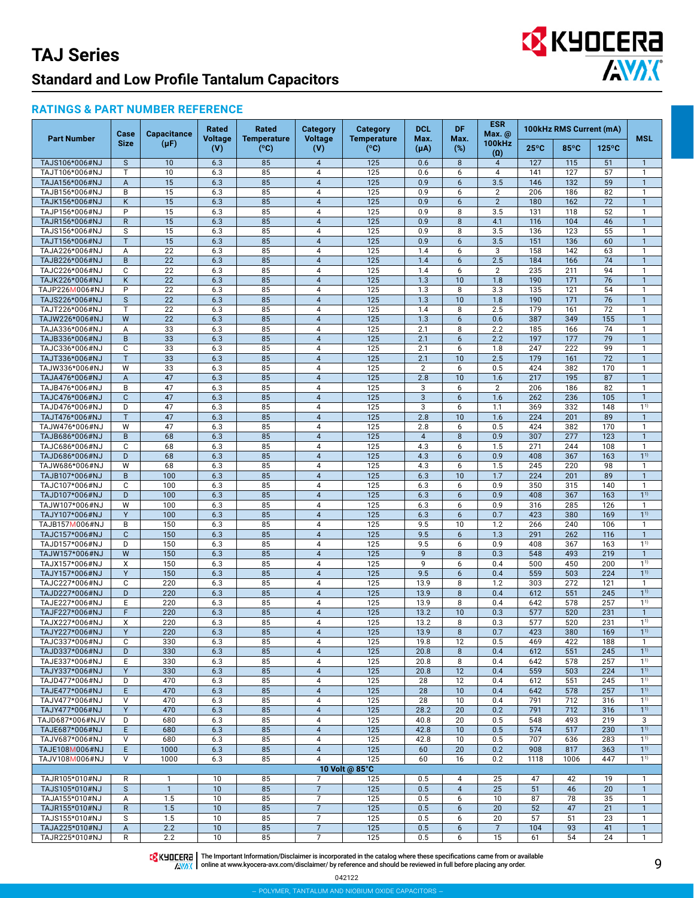# EX KYOCERA

#### **RATINGS & PART NUMBER REFERENCE**

|                                  | Case              | <b>Capacitance</b> | Rated                 | Rated                               | <b>Category</b>              | <b>Category</b>            | <b>DCL</b>            | <b>DF</b>            | ESR<br>Max. @               |                | 100kHz RMS Current (mA) |                 |                                  |
|----------------------------------|-------------------|--------------------|-----------------------|-------------------------------------|------------------------------|----------------------------|-----------------------|----------------------|-----------------------------|----------------|-------------------------|-----------------|----------------------------------|
| <b>Part Number</b>               | <b>Size</b>       | $(\mu F)$          | <b>Voltage</b><br>(V) | <b>Temperature</b><br>$(^{\circ}C)$ | <b>Voltage</b><br>(V)        | <b>Temperature</b><br>(°C) | Max.<br>$(\mu A)$     | Max.<br>$(\%)$       | <b>100kHz</b><br>$(\Omega)$ | $25^{\circ}$ C | 85°C                    | $125^{\circ}$ C | <b>MSL</b>                       |
| TAJS106*006#NJ                   | $\mathsf S$       | 10                 | 6.3                   | 85                                  | $\overline{4}$               | 125                        | 0.6                   | 8                    | $\overline{4}$              | 127            | 115                     | 51              | $\mathbf{1}$                     |
| TAJT106*006#NJ                   | T                 | 10                 | 6.3                   | 85                                  | $\sqrt{4}$                   | 125                        | 0.6                   | 6                    | $\overline{4}$              | 141            | 127                     | 57              | $\mathbf{1}$                     |
| TAJA156*006#NJ                   | A                 | 15                 | 6.3                   | 85                                  | $\sqrt{4}$                   | 125                        | 0.9                   | 6                    | 3.5                         | 146            | 132                     | 59              | $\mathbf{1}$                     |
| TAJB156*006#NJ                   | B                 | 15                 | 6.3                   | 85                                  | $\overline{4}$               | 125                        | 0.9                   | 6                    | $\overline{2}$              | 206            | 186                     | 82              | $\mathbf{1}$                     |
| TAJK156*006#NJ                   | K                 | 15                 | 6.3                   | 85                                  | $\sqrt{4}$                   | 125                        | 0.9                   | 6                    | $\overline{2}$              | 180            | 162                     | 72              | $\mathbf{1}$<br>$\mathbf{1}$     |
| TAJP156*006#NJ<br>TAJR156*006#NJ | P<br>$\mathsf{R}$ | 15<br>15           | 6.3<br>6.3            | 85<br>85                            | $\overline{4}$<br>$\sqrt{4}$ | 125<br>125                 | 0.9<br>0.9            | 8<br>8               | 3.5<br>4.1                  | 131<br>116     | 118<br>104              | 52<br>46        | $\mathbf{1}$                     |
| TAJS156*006#NJ                   | S                 | 15                 | 6.3                   | 85                                  | $\overline{\mathbf{4}}$      | 125                        | 0.9                   | 8                    | 3.5                         | 136            | 123                     | 55              | $\mathbf{1}$                     |
| TAJT156*006#NJ                   | T                 | 15                 | 6.3                   | 85                                  | $\overline{4}$               | 125                        | 0.9                   | 6                    | 3.5                         | 151            | 136                     | 60              | $\mathbf{1}$                     |
| TAJA226*006#NJ                   | А                 | 22                 | 6.3                   | 85                                  | $\overline{\mathbf{4}}$      | 125                        | 1.4                   | 6                    | 3                           | 158            | 142                     | 63              | $\mathbf{1}$                     |
| TAJB226*006#NJ                   | B                 | 22                 | 6.3                   | 85                                  | $\overline{4}$               | 125                        | 1.4                   | 6                    | 2.5                         | 184            | 166                     | 74              | $\mathbf{1}$                     |
| TAJC226*006#NJ                   | C                 | 22                 | 6.3                   | 85                                  | $\overline{\mathbf{4}}$      | 125                        | 1.4                   | 6                    | $\overline{2}$              | 235            | 211                     | 94              | $\mathbf{1}$                     |
| TAJK226*006#NJ                   | Κ                 | 22                 | 6.3                   | 85                                  | $\sqrt{4}$                   | 125                        | 1.3                   | 10                   | 1.8                         | 190            | 171                     | 76              | $\overline{1}$                   |
| TAJP226M006#NJ                   | P                 | 22                 | 6.3                   | 85                                  | $\overline{4}$               | 125                        | 1.3                   | 8                    | 3.3                         | 135            | 121                     | 54              | $\mathbf{1}$                     |
| TAJS226*006#NJ                   | $\mathsf S$       | 22                 | 6.3                   | 85                                  | $\sqrt{4}$                   | 125                        | 1.3                   | 10                   | 1.8                         | 190            | 171                     | 76              | $\mathbf{1}$                     |
| TAJT226*006#NJ                   | $\mathsf{T}$<br>W | 22                 | 6.3                   | 85<br>85                            | $\sqrt{4}$<br>$\sqrt{4}$     | 125<br>125                 | 1.4                   | 8<br>6               | 2.5<br>0.6                  | 179<br>387     | 161<br>349              | 72<br>155       | $\mathbf{1}$<br>$\mathbf{1}$     |
| TAJW226*006#NJ<br>TAJA336*006#NJ | Α                 | 22<br>33           | 6.3<br>6.3            | 85                                  | $\overline{\mathbf{4}}$      | 125                        | 1.3<br>2.1            | 8                    | 2.2                         | 185            | 166                     | 74              | $\mathbf{1}$                     |
| TAJB336*006#NJ                   | B                 | 33                 | 6.3                   | 85                                  | $\sqrt{4}$                   | 125                        | 2.1                   | 6                    | 2.2                         | 197            | 177                     | 79              | $\overline{1}$                   |
| TAJC336*006#NJ                   | C                 | 33                 | 6.3                   | 85                                  | $\overline{4}$               | 125                        | 2.1                   | 6                    | 1.8                         | 247            | 222                     | 99              | $\mathbf{1}$                     |
| TAJT336*006#NJ                   | T                 | 33                 | 6.3                   | 85                                  | $\sqrt{4}$                   | 125                        | 2.1                   | 10                   | 2.5                         | 179            | 161                     | 72              | $\mathbf{1}$                     |
| TAJW336*006#NJ                   | W                 | 33                 | 6.3                   | 85                                  | $\overline{\mathbf{4}}$      | 125                        | $\overline{2}$        | 6                    | 0.5                         | 424            | 382                     | 170             | $\mathbf{1}$                     |
| TAJA476*006#NJ                   | A                 | 47                 | 6.3                   | 85                                  | $\sqrt{4}$                   | 125                        | 2.8                   | 10                   | 1.6                         | 217            | 195                     | 87              | $\mathbf{1}$                     |
| TAJB476*006#NJ                   | B                 | 47                 | 6.3                   | 85                                  | $\overline{\mathbf{4}}$      | 125                        | 3                     | 6                    | 2                           | 206            | 186                     | 82              | $\mathbf{1}$                     |
| TAJC476*006#NJ                   | $\mathbf C$       | 47                 | 6.3                   | 85                                  | $\overline{4}$               | 125                        | $\overline{3}$        | $6\phantom{1}$       | 1.6                         | 262            | 236                     | 105             | $\mathbf{1}$                     |
| TAJD476*006#NJ                   | D                 | 47                 | 6.3                   | 85                                  | $\overline{\mathbf{4}}$      | 125                        | 3                     | 6                    | 1.1                         | 369            | 332                     | 148             | 11)                              |
| TAJT476*006#NJ                   | $\mathsf{T}$<br>W | 47<br>47           | 6.3                   | 85<br>85                            | $\sqrt{4}$<br>$\sqrt{4}$     | 125<br>125                 | 2.8                   | 10                   | 1.6                         | 224<br>424     | 201<br>382              | 89<br>170       | $\mathbf{1}$                     |
| TAJW476*006#NJ<br>TAJB686*006#NJ | B                 | 68                 | 6.3<br>6.3            | 85                                  | $\overline{4}$               | 125                        | 2.8<br>$\overline{4}$ | 6<br>8               | 0.5<br>0.9                  | 307            | 277                     | 123             | $\mathbf{1}$<br>$\mathbf{1}$     |
| TAJC686*006#NJ                   | C                 | 68                 | 6.3                   | 85                                  | $\overline{4}$               | 125                        | 4.3                   | 6                    | 1.5                         | 271            | 244                     | 108             | $\mathbf{1}$                     |
| TAJD686*006#NJ                   | D                 | 68                 | 6.3                   | 85                                  | $\sqrt{4}$                   | 125                        | 4.3                   | 6                    | 0.9                         | 408            | 367                     | 163             | 1 <sup>1</sup>                   |
| TAJW686*006#NJ                   | W                 | 68                 | 6.3                   | 85                                  | $\sqrt{4}$                   | 125                        | 4.3                   | 6                    | 1.5                         | 245            | 220                     | 98              | $\mathbf{1}$                     |
| TAJB107*006#NJ                   | $\sf B$           | 100                | 6.3                   | 85                                  | $\overline{4}$               | 125                        | 6.3                   | 10                   | 1.7                         | 224            | 201                     | 89              | $\mathbf{1}$                     |
| TAJC107*006#NJ                   | C                 | 100                | 6.3                   | 85                                  | $\sqrt{4}$                   | 125                        | 6.3                   | 6                    | 0.9                         | 350            | 315                     | 140             | $\mathbf{1}$                     |
| TAJD107*006#NJ                   | D                 | 100                | 6.3                   | 85                                  | $\sqrt{4}$                   | 125                        | 6.3                   | 6                    | 0.9                         | 408            | 367                     | 163             | $1^{1}$                          |
| TAJW107*006#NJ                   | W                 | 100                | 6.3                   | 85                                  | $\overline{4}$               | 125                        | 6.3                   | 6                    | 0.9                         | 316            | 285                     | 126             | $\mathbf{1}$                     |
| TAJY107*006#NJ                   | Y                 | 100                | 6.3                   | 85                                  | $\sqrt{4}$                   | 125                        | 6.3                   | $6\phantom{1}$       | 0.7                         | 423            | 380                     | 169             | 1 <sup>1</sup><br>$\overline{1}$ |
| TAJB157M006#NJ<br>TAJC157*006#NJ | B<br>$\mathbf C$  | 150<br>150         | 6.3<br>6.3            | 85<br>85                            | $\sqrt{4}$<br>$\sqrt{4}$     | 125<br>125                 | 9.5<br>9.5            | 10<br>$6\phantom{1}$ | 1.2<br>1.3                  | 266<br>291     | 240<br>262              | 106<br>116      | $\overline{1}$                   |
| TAJD157*006#NJ                   | D                 | 150                | 6.3                   | 85                                  | $\overline{4}$               | 125                        | 9.5                   | 6                    | 0.9                         | 408            | 367                     | 163             | 1 <sup>1</sup>                   |
| TAJW157*006#NJ                   | W                 | 150                | 6.3                   | 85                                  | $\overline{4}$               | 125                        | $\overline{9}$        | 8                    | 0.3                         | 548            | 493                     | 219             | $\overline{1}$                   |
| TAJX157*006#NJ                   | X                 | 150                | 6.3                   | 85                                  | $\sqrt{4}$                   | 125                        | 9                     | 6                    | 0.4                         | 500            | 450                     | 200             | 1 <sup>1</sup>                   |
| TAJY157*006#NJ                   | Y                 | 150                | 6.3                   | 85                                  | $\overline{4}$               | 125                        | 9.5                   | 6                    | 0.4                         | 559            | 503                     | 224             | 1 <sup>1</sup>                   |
| TAJC227*006#NJ                   | C                 | 220                | 6.3                   | 85                                  | $\sqrt{4}$                   | 125                        | 13.9                  | 8                    | 1.2                         | 303            | 272                     | 121             | $\mathbf{1}$                     |
| TAJD227*006#NJ                   | D                 | 220                | 6.3                   | 85                                  | $\sqrt{4}$                   | $\overline{125}$           | 13.9                  | 8                    | 0.4                         | 612            | 551                     | 245             | 1 <sup>1</sup>                   |
| TAJE227*006#NJ                   | E                 | 220                | 6.3                   | 85                                  | $\overline{4}$               | 125                        | 13.9                  | 8                    | 0.4                         | 642            | 578                     | 257             | 1 <sup>1</sup>                   |
| TAJF227*006#NJ                   | F                 | 220                | 6.3                   | 85                                  | $\sqrt{4}$                   | 125                        | 13.2                  | 10                   | 0.3                         | 577            | 520                     | 231             | $\mathbf{1}$                     |
| TAJX227*006#NJ                   | X                 | 220                | 6.3                   | 85                                  | $\overline{4}$               | 125                        | 13.2                  | 8                    | 0.3                         | 577            | 520                     | 231             | 1 <sup>1</sup>                   |
| TAJY227*006#NJ<br>TAJC337*006#NJ | Y<br>C            | 220<br>330         | 6.3<br>6.3            | 85<br>85                            | 4<br>$\overline{4}$          | 125<br>125                 | 13.9<br>19.8          | 8<br>12              | 0.7<br>0.5                  | 423<br>469     | 380<br>422              | 169<br>188      | $1^{11}$<br>$\mathbf{1}$         |
| TAJD337*006#NJ                   | D                 | 330                | 6.3                   | 85                                  | $\overline{4}$               | 125                        | 20.8                  | 8                    | 0.4                         | 612            | 551                     | 245             | $1^{1}$                          |
| TAJE337*006#NJ                   | Ε                 | 330                | 6.3                   | 85                                  | $\overline{4}$               | 125                        | 20.8                  | 8                    | 0.4                         | 642            | 578                     | 257             | $1^{1}$                          |
| TAJY337*006#NJ                   | Y                 | 330                | 6.3                   | 85                                  | $\overline{4}$               | 125                        | 20.8                  | 12                   | 0.4                         | 559            | 503                     | 224             | $1^{1}$                          |
| TAJD477*006#NJ                   | D                 | 470                | 6.3                   | 85                                  | 4                            | 125                        | 28                    | 12                   | 0.4                         | 612            | 551                     | 245             | $1^{1}$                          |
| TAJE477*006#NJ                   | E                 | 470                | 6.3                   | 85                                  | $\overline{4}$               | 125                        | 28                    | 10                   | 0.4                         | 642            | 578                     | 257             | $1^{1}$                          |
| TAJV477*006#NJ                   | V                 | 470                | 6.3                   | 85                                  | $\overline{4}$               | 125                        | 28                    | 10                   | 0.4                         | 791            | 712                     | 316             | $1^{1}$                          |
| TAJY477*006#NJ                   | Y                 | 470                | 6.3                   | 85                                  | $\overline{4}$               | 125                        | 28.2                  | 20                   | 0.2                         | 791            | 712                     | 316             | $1^{1}$                          |
| TAJD687*006#NJV                  | D                 | 680                | 6.3                   | 85                                  | 4                            | 125                        | 40.8                  | 20                   | 0.5                         | 548            | 493                     | 219             | 3<br>$1^{1}$                     |
| TAJE687*006#NJ<br>TAJV687*006#NJ | E<br>V            | 680<br>680         | 6.3<br>6.3            | 85<br>85                            | $\overline{4}$<br>4          | 125<br>125                 | 42.8<br>42.8          | 10<br>10             | 0.5<br>0.5                  | 574<br>707     | 517<br>636              | 230<br>283      | $1^{1}$                          |
| TAJE108M006#NJ                   | E                 | 1000               | 6.3                   | 85                                  | $\overline{4}$               | 125                        | 60                    | 20                   | 0.2                         | 908            | 817                     | 363             | $1^{1}$                          |
| TAJV108M006#NJ                   | V                 | 1000               | 6.3                   | 85                                  | 4                            | 125                        | 60                    | 16                   | 0.2                         | 1118           | 1006                    | 447             | $1^{1}$                          |
|                                  |                   |                    |                       |                                     |                              | 10 Volt @ 85°C             |                       |                      |                             |                |                         |                 |                                  |
| TAJR105*010#NJ                   | R                 | $\mathbf{1}$       | 10                    | 85                                  | $\overline{7}$               | 125                        | 0.5                   | 4                    | 25                          | 47             | 42                      | 19              | $\mathbf{1}$                     |
| TAJS105*010#NJ                   | $\mathsf{s}$      | $\mathbf{1}$       | 10                    | 85                                  | $\overline{7}$               | 125                        | 0.5                   | $\overline{4}$       | 25                          | 51             | 46                      | 20              | $\mathbf{1}$                     |
| TAJA155*010#NJ                   | Α                 | 1.5                | 10                    | 85                                  | $\overline{7}$               | 125                        | 0.5                   | 6                    | 10                          | 87             | 78                      | 35              | $\mathbf{1}$                     |
| TAJR155*010#NJ                   | $\mathsf{R}$      | 1.5                | 10                    | 85                                  | $\overline{7}$               | 125                        | 0.5                   | 6                    | 20                          | 52             | 47                      | 21              | $\mathbf{1}$                     |
| TAJS155*010#NJ                   | S                 | 1.5                | 10                    | 85                                  | $\overline{7}$               | 125                        | 0.5                   | 6                    | 20                          | 57             | 51                      | 23              | $\mathbf{1}$                     |
| TAJA225*010#NJ                   | A                 | 2.2                | 10                    | 85                                  | $\overline{7}$               | 125                        | 0.5                   | 6                    | $\overline{7}$              | 104            | 93                      | 41              | $\mathbf{1}$                     |
| TAJR225*010#NJ                   | $\mathsf R$       | $2.2\,$            | 10                    | 85                                  | $\overline{7}$               | 125                        | 0.5                   | 6                    | 15                          | 61             | 54                      | 24              | $\mathbf{1}$                     |

The Important Information/Disclaimer is incorporated in the catalog where these specifications came from or available<br>online at [www.kyocera-avx.com/disclaimer/](http://www.avx.com/disclaimer/) by reference and should be reviewed in full before placing any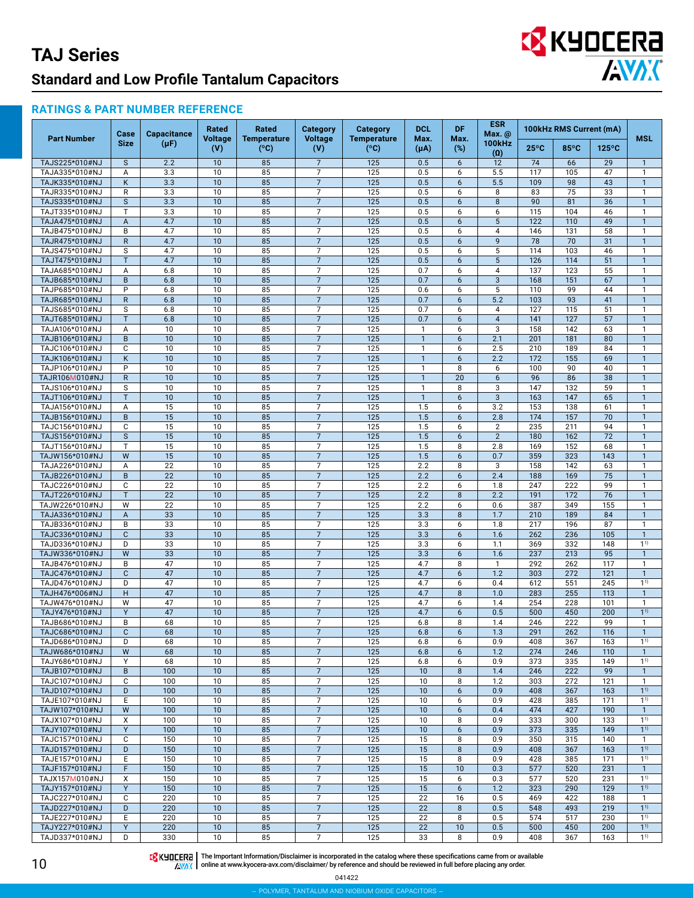# EX KYOCERA

#### **RATINGS & PART NUMBER REFERENCE**

|                                  | Case                    | <b>Capacitance</b> | <b>Rated</b>          | <b>Rated</b>               | <b>Category</b>                  | <b>Category</b>            | <b>DCL</b>                   | DF               | <b>ESR</b><br>Max. @ |                | 100kHz RMS Current (mA) |                 |                                |
|----------------------------------|-------------------------|--------------------|-----------------------|----------------------------|----------------------------------|----------------------------|------------------------------|------------------|----------------------|----------------|-------------------------|-----------------|--------------------------------|
| <b>Part Number</b>               | <b>Size</b>             | $(\mu F)$          | <b>Voltage</b><br>(V) | <b>Temperature</b><br>(°C) | <b>Voltage</b><br>(V)            | <b>Temperature</b><br>(°C) | Max.<br>$(\mu A)$            | Max.<br>(%)      | <b>100kHz</b><br>(0) | $25^{\circ}$ C | 85°C                    | $125^{\circ}$ C | MSL                            |
| TAJS225*010#NJ                   | $\mathsf{s}$            | 2.2                | 10                    | 85                         | $\overline{7}$                   | 125                        | 0.5                          | 6                | 12                   | 74             | 66                      | 29              | $\mathbf{1}$                   |
| TAJA335*010#NJ                   | А                       | 3.3                | 10                    | 85                         | $\overline{7}$                   | 125                        | 0.5                          | 6                | 5.5                  | 117            | 105                     | 47              | $\mathbf{1}$                   |
| TAJK335*010#NJ                   | K                       | 3.3                | 10                    | 85                         | $\overline{7}$                   | 125                        | 0.5                          | 6                | 5.5                  | 109            | 98                      | 43              | $\mathbf{1}$                   |
| TAJR335*010#NJ                   | R                       | 3.3                | 10                    | 85                         | $\overline{7}$                   | 125                        | 0.5                          | 6                | 8                    | 83             | 75                      | 33              | $\mathbf{1}$                   |
| TAJS335*010#NJ                   | $\mathsf S$             | 3.3                | 10                    | 85                         | $\overline{7}$                   | 125                        | 0.5                          | 6                | 8                    | 90             | 81                      | $\overline{36}$ | $\overline{1}$                 |
| TAJT335*010#NJ                   | T                       | 3.3                | 10                    | 85                         | $\overline{7}$                   | 125                        | 0.5                          | 6                | 6                    | 115            | 104                     | 46              | $\mathbf{1}$                   |
| TAJA475*010#NJ                   | $\overline{A}$          | 4.7                | 10                    | 85                         | $\overline{7}$                   | 125                        | 0.5                          | 6                | 5                    | 122            | 110                     | 49              | $\mathbf{1}$                   |
| TAJB475*010#NJ                   | B                       | 4.7                | 10                    | 85                         | $\overline{7}$                   | 125                        | 0.5                          | 6                | $\overline{4}$       | 146            | 131                     | 58              | $\mathbf{1}$                   |
| TAJR475*010#NJ                   | $\mathsf{R}$            | 4.7                | 10                    | 85                         | $\overline{7}$                   | 125                        | 0.5                          | 6                | 9                    | 78<br>114      | 70                      | $\overline{31}$ | $\mathbf{1}$                   |
| TAJS475*010#NJ<br>TAJT475*010#NJ | S<br>T                  | 4.7<br>4.7         | 10<br>10              | 85<br>85                   | $\overline{7}$<br>$\overline{7}$ | 125<br>125                 | 0.5<br>0.5                   | 6<br>6           | 5<br>$5\phantom{.0}$ | 126            | 103<br>114              | 46<br>51        | $\mathbf{1}$<br>$\mathbf{1}$   |
| TAJA685*010#NJ                   | Α                       | 6.8                | 10                    | 85                         | $\overline{7}$                   | 125                        | 0.7                          | 6                | 4                    | 137            | 123                     | 55              | $\mathbf{1}$                   |
| TAJB685*010#NJ                   | B                       | 6.8                | 10                    | 85                         | $\overline{7}$                   | 125                        | 0.7                          | 6                | $\mathbf{3}$         | 168            | 151                     | 67              | $\mathbf{1}$                   |
| TAJP685*010#NJ                   | P                       | 6.8                | 10                    | 85                         | $\overline{7}$                   | 125                        | 0.6                          | 6                | 5                    | 110            | 99                      | 44              | $\mathbf{1}$                   |
| TAJR685*010#NJ                   | $\mathsf{R}$            | 6.8                | 10                    | 85                         | $\overline{7}$                   | 125                        | 0.7                          | 6                | 5.2                  | 103            | 93                      | 41              | $\mathbf{1}$                   |
| TAJS685*010#NJ                   | S                       | 6.8                | 10                    | 85                         | $\overline{7}$                   | 125                        | 0.7                          | 6                | 4                    | 127            | 115                     | 51              | $\mathbf{1}$                   |
| TAJT685*010#NJ                   | T                       | 6.8                | 10                    | 85                         | $\overline{7}$                   | 125                        | 0.7                          | 6                | $\overline{4}$       | 141            | 127                     | 57              | $\overline{1}$                 |
| TAJA106*010#NJ                   | А                       | 10                 | 10                    | 85                         | $\overline{7}$                   | 125                        | $\mathbf{1}$                 | 6                | 3                    | 158            | 142                     | 63              | $\mathbf{1}$                   |
| TAJB106*010#NJ                   | B                       | 10                 | 10                    | 85                         | $\overline{7}$                   | 125                        | $\mathbf{1}$                 | 6                | 2.1                  | 201            | 181                     | 80              | $\mathbf{1}$                   |
| TAJC106*010#NJ                   | C                       | 10                 | 10                    | 85                         | 7                                | 125                        | 1                            | 6                | 2.5                  | 210            | 189                     | 84              | $\mathbf{1}$                   |
| TAJK106*010#NJ                   | K                       | 10                 | 10                    | 85                         | $\overline{7}$                   | 125                        | $\mathbf{1}$                 | $6\phantom{1}$   | 2.2                  | 172            | 155                     | 69              | $\mathbf{1}$                   |
| TAJP106*010#NJ                   | P                       | 10                 | 10                    | 85                         | $\overline{7}$                   | 125                        | $\mathbf{1}$                 | 8                | 6                    | 100            | 90                      | 40              | $\mathbf{1}$<br>$\overline{1}$ |
| TAJR106M010#NJ<br>TAJS106*010#NJ | $\mathsf{R}$<br>S       | 10<br>10           | 10<br>10              | 85<br>85                   | $\overline{7}$<br>$\overline{7}$ | 125<br>125                 | $\mathbf{1}$<br>$\mathbf{1}$ | 20<br>8          | $6\phantom{1}$<br>3  | 96<br>147      | 86<br>132               | 38<br>59        | $\mathbf{1}$                   |
| TAJT106*010#NJ                   | T                       | 10                 | 10                    | 85                         | $\overline{7}$                   | 125                        | $\overline{1}$               | $6 \overline{6}$ | $\overline{3}$       | 163            | 147                     | 65              | $\mathbf{1}$                   |
| TAJA156*010#NJ                   | A                       | 15                 | 10                    | 85                         | $\overline{7}$                   | 125                        | 1.5                          | 6                | 3.2                  | 153            | 138                     | 61              | $\mathbf{1}$                   |
| TAJB156*010#NJ                   | B                       | 15                 | 10                    | 85                         | $\overline{7}$                   | 125                        | 1.5                          | 6                | 2.8                  | 174            | 157                     | 70              | $\mathbf{1}$                   |
| TAJC156*010#NJ                   | C                       | 15                 | 10                    | 85                         | $\overline{7}$                   | 125                        | 1.5                          | 6                | 2                    | 235            | 211                     | 94              | $\mathbf{1}$                   |
| TAJS156*010#NJ                   | $\overline{\mathbf{S}}$ | 15                 | 10                    | 85                         | $\overline{7}$                   | 125                        | 1.5                          | 6                | $\overline{2}$       | 180            | 162                     | 72              | $\mathbf{1}$                   |
| TAJT156*010#NJ                   | T                       | 15                 | 10                    | 85                         | 7                                | 125                        | 1.5                          | 8                | 2.8                  | 169            | 152                     | 68              | $\mathbf{1}$                   |
| TAJW156*010#NJ                   | W                       | 15                 | 10                    | 85                         | $\overline{7}$                   | 125                        | 1.5                          | 6                | 0.7                  | 359            | 323                     | 143             | $\mathbf{1}$                   |
| TAJA226*010#NJ                   | $\overline{A}$          | 22                 | 10                    | 85                         | $\overline{7}$                   | 125                        | 2.2                          | 8                | 3                    | 158            | 142                     | 63              | $\mathbf{1}$                   |
| TAJB226*010#NJ                   | B                       | 22                 | 10                    | 85                         | $\overline{7}$                   | 125                        | 2.2                          | 6                | 2.4                  | 188            | 169                     | 75              | $\mathbf{1}$                   |
| TAJC226*010#NJ                   | C                       | 22                 | 10                    | 85                         | $\overline{7}$                   | 125                        | 2.2                          | 6                | 1.8                  | 247            | 222                     | 99              | $\mathbf{1}$                   |
| TAJT226*010#NJ<br>TAJW226*010#NJ | T<br>W                  | 22<br>22           | 10<br>10              | 85<br>85                   | $\overline{7}$<br>$\overline{7}$ | 125<br>125                 | 2.2<br>2.2                   | 8<br>6           | 2.2<br>0.6           | 191<br>387     | 172<br>349              | 76<br>155       | $\mathbf{1}$<br>$\mathbf{1}$   |
| TAJA336*010#NJ                   | $\overline{A}$          | 33                 | 10                    | 85                         | $\overline{7}$                   | 125                        | 3.3                          | 8                | 1.7                  | 210            | 189                     | 84              | $\mathbf{1}$                   |
| TAJB336*010#NJ                   | B                       | 33                 | 10                    | 85                         | $\overline{7}$                   | 125                        | 3.3                          | 6                | 1.8                  | 217            | 196                     | 87              | $\mathbf{1}$                   |
| TAJC336*010#NJ                   | $\mathbf{C}$            | 33                 | 10                    | 85                         | $\overline{7}$                   | 125                        | 3.3                          | 6                | 1.6                  | 262            | 236                     | 105             | $\mathbf{1}$                   |
| TAJD336*010#NJ                   | D                       | 33                 | 10                    | 85                         | $\overline{7}$                   | 125                        | 3.3                          | 6                | 1.1                  | 369            | 332                     | 148             | 1 <sup>1</sup>                 |
| TAJW336*010#NJ                   | W                       | 33                 | 10                    | 85                         | $\overline{7}$                   | 125                        | 3.3                          | $6\overline{6}$  | 1.6                  | 237            | 213                     | 95              | $\overline{1}$                 |
| TAJB476*010#NJ                   | B                       | 47                 | 10                    | 85                         | $\overline{7}$                   | 125                        | 4.7                          | 8                | $\mathbf{1}$         | 292            | 262                     | 117             | $\mathbf{1}$                   |
| TAJC476*010#NJ                   | $\mathbf{C}$            | 47                 | 10                    | 85                         | $\overline{7}$                   | 125                        | 4.7                          | 6                | 1.2                  | 303            | 272                     | 121             | $\mathbf{1}$                   |
| TAJD476*010#NJ                   | D                       | 47                 | 10<br>10              | 85<br>85                   | $\overline{7}$<br>$\overline{7}$ | 125                        | 4.7                          | 6                | 0.4                  | 612            | 551<br>255              | 245             | $1^{1}$<br>$\overline{1}$      |
| TAJH476*006#NJ<br>TAJW476*010#NJ | H<br>W                  | 47<br>47           | 10                    | 85                         | $\overline{7}$                   | 125<br>125                 | 4.7<br>4.7                   | 8<br>6           | 1.0<br>1.4           | 283<br>254     | 228                     | 113<br>101      | $\mathbf{1}$                   |
| TAJY476*010#NJ                   | Y                       | 47                 | 10                    | 85                         | $\overline{7}$                   | 125                        | 4.7                          | 6                | 0.5                  | 500            | 450                     | 200             | 1 <sup>1</sup>                 |
| TAJB686*010#NJ                   | B                       | 68                 | 10                    | 85                         | $\overline{7}$                   | 125                        | 6.8                          | 8                | 1.4                  | 246            | 222                     | 99              | $\mathbf{1}$                   |
| TAJC686*010#NJ                   | $\mathbf{C}$            | 68                 | 10                    | 85                         | $\overline{7}$                   | 125                        | 6.8                          | 6                | 1.3                  | 291            | 262                     | 116             | $\mathbf{1}$                   |
| TAJD686*010#NJ                   | D                       | 68                 | 10                    | 85                         | $\overline{7}$                   | 125                        | 6.8                          | 6                | 0.9                  | 408            | 367                     | 163             | $1^{1}$                        |
| TAJW686*010#NJ                   | W                       | 68                 | 10                    | 85                         | $\overline{7}$                   | 125                        | 6.8                          | 6                | 1.2                  | 274            | 246                     | 110             | $\mathbf{1}$                   |
| TAJY686*010#NJ                   | Υ                       | 68                 | 10                    | 85                         | $\overline{7}$                   | 125                        | 6.8                          | 6                | 0.9                  | 373            | 335                     | 149             | $1^{1}$                        |
| TAJB107*010#NJ                   | B                       | 100                | 10                    | 85                         | $\overline{7}$                   | 125                        | 10                           | 8                | 1.4                  | 246            | 222                     | 99              | $\mathbf{1}$                   |
| TAJC107*010#NJ<br>TAJD107*010#NJ | C<br>D                  | 100<br>100         | 10<br>10              | 85<br>85                   | $\overline{7}$<br>$\overline{7}$ | 125<br>125                 | 10<br>10                     | 8<br>6           | 1.2<br>0.9           | 303<br>408     | 272<br>367              | 121<br>163      | $\mathbf{1}$<br>1 <sup>1</sup> |
| TAJE107*010#NJ                   | E                       | 100                | 10                    | 85                         | $\overline{7}$                   | 125                        | 10                           | 6                | 0.9                  | 428            | 385                     | 171             | $1^{1}$                        |
| TAJW107*010#NJ                   | W                       | 100                | 10                    | 85                         | $\overline{7}$                   | 125                        | 10                           | 6                | 0.4                  | 474            | 427                     | 190             | $\mathbf{1}$                   |
| TAJX107*010#NJ                   | X                       | 100                | 10                    | 85                         | $\overline{7}$                   | 125                        | 10                           | 8                | 0.9                  | 333            | 300                     | 133             | $1^{1}$                        |
| TAJY107*010#NJ                   | Y                       | 100                | 10                    | 85                         | $\overline{7}$                   | 125                        | 10                           | 6                | 0.9                  | 373            | 335                     | 149             | $1^{1}$                        |
| TAJC157*010#NJ                   | C                       | 150                | 10                    | 85                         | $\overline{7}$                   | 125                        | 15                           | 8                | 0.9                  | 350            | 315                     | 140             | $\mathbf{1}$                   |
| TAJD157*010#NJ                   | D                       | 150                | 10                    | 85                         | $\overline{7}$                   | 125                        | 15                           | 8                | 0.9                  | 408            | 367                     | 163             | $1^{1}$                        |
| TAJE157*010#NJ                   | Ε                       | 150                | 10                    | 85                         | $\overline{7}$                   | 125                        | 15                           | 8                | 0.9                  | 428            | 385                     | 171             | $1^{1}$                        |
| TAJF157*010#NJ                   | F                       | 150                | 10                    | 85                         | $\overline{7}$                   | 125                        | 15                           | 10               | 0.3                  | 577            | 520                     | 231             | $\mathbf{1}$                   |
| TAJX157M010#NJ<br>TAJY157*010#NJ | X<br>Y                  | 150<br>150         | 10<br>10              | 85<br>85                   | $\overline{7}$<br>$\overline{7}$ | 125<br>125                 | 15<br>15                     | 6<br>6           | 0.3<br>1.2           | 577<br>323     | 520<br>290              | 231<br>129      | $1^{1}$<br>$1^{1}$             |
| TAJC227*010#NJ                   | C                       | 220                | 10                    | 85                         | $\overline{7}$                   | 125                        | 22                           | 16               | 0.5                  | 469            | 422                     | 188             | $\mathbf{1}$                   |
| TAJD227*010#NJ                   | D                       | 220                | 10                    | 85                         | $\overline{7}$                   | 125                        | 22                           | 8                | 0.5                  | 548            | 493                     | 219             | $1^{1}$                        |
| TAJE227*010#NJ                   | Е                       | 220                | 10                    | 85                         | $\overline{7}$                   | 125                        | 22                           | 8                | 0.5                  | 574            | 517                     | 230             | $1^{1}$                        |
| TAJY227*010#NJ                   | Υ                       | 220                | 10                    | 85                         | $\overline{7}$                   | 125                        | 22                           | 10               | 0.5                  | 500            | 450                     | 200             | $1^{1}$                        |
| TAJD337*010#NJ                   | D                       | 330                | 10                    | 85                         | $\overline{7}$                   | 125                        | 33                           | 8                | 0.9                  | 408            | 367                     | 163             | $1^{1}$                        |

10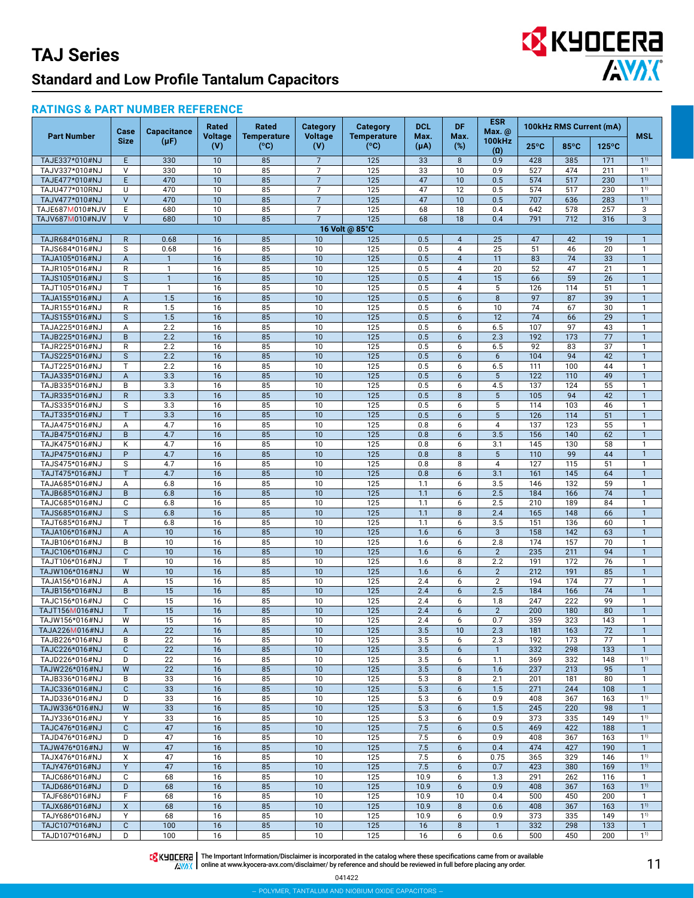

#### **RATINGS & PART NUMBER REFERENCE**

|                                    | Case                           | <b>Capacitance</b>  | Rated          | Rated                               | <b>Category</b>                  | <b>Category</b>                     | <b>DCL</b>   | DF.            | <b>ESR</b><br>Max. @        |                | 100kHz RMS Current (mA) |                 |                                |
|------------------------------------|--------------------------------|---------------------|----------------|-------------------------------------|----------------------------------|-------------------------------------|--------------|----------------|-----------------------------|----------------|-------------------------|-----------------|--------------------------------|
| <b>Part Number</b>                 | <b>Size</b>                    | $(\mu F)$           | Voltage<br>(V) | <b>Temperature</b><br>$(^{\circ}C)$ | <b>Voltage</b><br>(V)            | <b>Temperature</b><br>$(^{\circ}C)$ | Max.<br>(μA) | Max.<br>$(\%)$ | <b>100kHz</b><br>$(\Omega)$ | $25^{\circ}$ C | 85°C                    | $125^{\circ}$ C | MSL                            |
| TAJE337*010#NJ                     | E                              | 330                 | 10             | 85                                  | $\overline{7}$                   | 125                                 | 33           | 8              | 0.9                         | 428            | 385                     | 171             | $1^{1}$                        |
| TAJV337*010#NJ                     | $\vee$                         | 330                 | 10             | 85                                  | $\overline{7}$                   | 125                                 | 33           | 10             | 0.9                         | 527            | 474                     | 211             | $1^{1}$                        |
| TAJE477*010#NJ                     | E                              | 470                 | 10             | 85                                  | $\overline{7}$                   | 125                                 | 47           | 10             | 0.5                         | 574            | 517                     | 230             | 1 <sup>1</sup>                 |
| TAJU477*010RNJ                     | U                              | 470                 | 10             | 85                                  | $\overline{7}$                   | 125                                 | 47           | 12             | 0.5                         | 574            | 517                     | 230             | $1^{1}$                        |
| TAJV477*010#NJ                     | $\vee$<br>E                    | 470                 | 10<br>10       | 85                                  | $\overline{7}$<br>$\overline{7}$ | 125<br>125                          | 47           | 10<br>18       | 0.5<br>0.4                  | 707            | 636<br>578              | 283<br>257      | $1^{1}$<br>$\overline{3}$      |
| TAJE687M010#NJV<br>TAJV687M010#NJV | $\vee$                         | 680<br>680          | 10             | 85<br>85                            | $\overline{7}$                   | 125                                 | 68<br>68     | 18             | 0.4                         | 642<br>791     | 712                     | 316             | $\mathbf{3}$                   |
|                                    |                                |                     |                |                                     |                                  | 16 Volt @ 85°C                      |              |                |                             |                |                         |                 |                                |
| TAJR684*016#NJ                     | $\mathsf{R}$                   | 0.68                | 16             | 85                                  | 10                               | 125                                 | 0.5          | $\overline{4}$ | 25                          | 47             | 42                      | 19              | $\mathbf{1}$                   |
| TAJS684*016#NJ                     | S                              | 0.68                | 16             | 85                                  | 10                               | 125                                 | 0.5          | 4              | 25                          | 51             | 46                      | 20              | $\mathbf{1}$                   |
| TAJA105*016#NJ                     | A                              | $\mathbf{1}$        | 16             | 85                                  | 10                               | 125                                 | 0.5          | $\overline{4}$ | 11                          | 83             | 74                      | 33              | $\mathbf{1}$                   |
| TAJR105*016#NJ                     | R                              | $\mathbf{1}$        | 16             | 85                                  | 10                               | 125                                 | 0.5          | $\overline{4}$ | 20                          | 52             | 47                      | 21              | $\mathbf{1}$                   |
| TAJS105*016#NJ                     | $\mathsf{s}$                   | $\mathbf{1}$        | 16             | 85                                  | 10                               | 125                                 | 0.5          | $\overline{4}$ | 15                          | 66             | 59                      | 26              | $\mathbf{1}$                   |
| TAJT105*016#NJ                     | T                              | $\mathbf{1}$<br>1.5 | 16             | 85                                  | 10<br>10                         | 125<br>125                          | 0.5<br>0.5   | 4<br>6         | 5<br>8                      | 126<br>97      | 114                     | 51<br>39        | $\mathbf{1}$<br>$\overline{1}$ |
| TAJA155*016#NJ<br>TAJR155*016#NJ   | $\boldsymbol{\mathsf{A}}$<br>R | 1.5                 | 16<br>16       | 85<br>85                            | 10                               | 125                                 | 0.5          | 6              | 10                          | 74             | 87<br>67                | 30              | $\mathbf{1}$                   |
| TAJS155*016#NJ                     | $\mathsf{s}$                   | 1.5                 | 16             | 85                                  | 10                               | 125                                 | 0.5          | 6              | 12                          | 74             | 66                      | 29              | $\overline{1}$                 |
| TAJA225*016#NJ                     | А                              | 2.2                 | 16             | 85                                  | 10                               | 125                                 | 0.5          | 6              | 6.5                         | 107            | 97                      | 43              | $\mathbf{1}$                   |
| TAJB225*016#NJ                     | $\sf B$                        | 2.2                 | 16             | 85                                  | 10                               | 125                                 | 0.5          | 6              | 2.3                         | 192            | 173                     | 77              | $\overline{1}$                 |
| TAJR225*016#NJ                     | $\mathsf{R}$                   | 2.2                 | 16             | 85                                  | 10                               | 125                                 | 0.5          | 6              | 6.5                         | 92             | 83                      | 37              | $\mathbf{1}$                   |
| TAJS225*016#NJ                     | $\mathsf{s}$                   | 2.2                 | 16             | 85                                  | 10                               | 125                                 | 0.5          | 6              | 6                           | 104            | 94                      | 42              | $\mathbf{1}$                   |
| TAJT225*016#NJ                     | T                              | 2.2                 | 16             | 85                                  | 10                               | 125                                 | 0.5          | 6              | 6.5                         | 111            | 100                     | 44              | $\mathbf{1}$                   |
| TAJA335*016#NJ                     | A                              | 3.3                 | 16             | 85                                  | 10                               | 125                                 | 0.5          | 6              | 5                           | 122            | 110                     | 49              | $\mathbf{1}$<br>$\mathbf{1}$   |
| TAJB335*016#NJ<br>TAJR335*016#NJ   | B<br>$\mathsf{R}$              | 3.3<br>3.3          | 16<br>16       | 85<br>85                            | 10<br>10                         | 125<br>$\overline{125}$             | 0.5<br>0.5   | 6<br>8         | 4.5<br>5                    | 137<br>105     | 124<br>94               | 55<br>42        | $\mathbf{1}$                   |
| TAJS335*016#NJ                     | S                              | 3.3                 | 16             | 85                                  | 10                               | 125                                 | 0.5          | 6              | 5                           | 114            | 103                     | 46              | $\mathbf{1}$                   |
| TAJT335*016#NJ                     | T.                             | 3.3                 | 16             | 85                                  | 10                               | 125                                 | 0.5          | 6              | $5\phantom{.0}$             | 126            | 114                     | 51              | $\mathbf{1}$                   |
| TAJA475*016#NJ                     | Α                              | 4.7                 | 16             | 85                                  | 10                               | 125                                 | 0.8          | 6              | 4                           | 137            | 123                     | 55              | $\mathbf{1}$                   |
| TAJB475*016#NJ                     | B                              | 4.7                 | 16             | 85                                  | 10                               | 125                                 | 0.8          | 6              | 3.5                         | 156            | 140                     | 62              | $\mathbf{1}$                   |
| TAJK475*016#NJ                     | К                              | 4.7                 | 16             | 85                                  | 10                               | 125                                 | 0.8          | 6              | 3.1                         | 145            | 130                     | 58              | $\mathbf{1}$                   |
| TAJP475*016#NJ                     | P                              | 4.7                 | 16             | 85                                  | 10                               | $\overline{125}$                    | 0.8          | 8              | 5                           | 110            | 99                      | 44              | $\mathbf{1}$                   |
| TAJS475*016#NJ                     | S<br>T                         | 4.7<br>4.7          | 16             | 85                                  | 10<br>10                         | 125<br>$\overline{125}$             | 0.8          | 8              | $\overline{4}$              | 127            | 115                     | 51              | $\mathbf{1}$<br>$\overline{1}$ |
| TAJT475*016#NJ<br>TAJA685*016#NJ   | А                              | 6.8                 | 16<br>16       | 85<br>85                            | 10                               | 125                                 | 0.8<br>1.1   | 6<br>6         | 3.1<br>3.5                  | 161<br>146     | 145<br>132              | 64<br>59        | $\mathbf{1}$                   |
| TAJB685*016#NJ                     | $\sf B$                        | 6.8                 | 16             | 85                                  | 10                               | 125                                 | 1.1          | 6              | 2.5                         | 184            | 166                     | 74              | $\mathbf{1}$                   |
| TAJC685*016#NJ                     | C                              | 6.8                 | 16             | 85                                  | 10                               | 125                                 | 1.1          | 6              | 2.5                         | 210            | 189                     | 84              | $\mathbf{1}$                   |
| TAJS685*016#NJ                     | $\mathsf{s}$                   | 6.8                 | 16             | 85                                  | 10                               | 125                                 | 1.1          | 8              | 2.4                         | 165            | 148                     | 66              | $\mathbf{1}$                   |
| TAJT685*016#NJ                     | T                              | 6.8                 | 16             | 85                                  | 10                               | 125                                 | 1.1          | 6              | 3.5                         | 151            | 136                     | 60              | $\mathbf{1}$                   |
| TAJA106*016#NJ                     | A                              | 10                  | 16             | 85                                  | 10                               | $\overline{125}$                    | 1.6          | 6              | 3                           | 158            | 142                     | 63              | $\overline{1}$                 |
| TAJB106*016#NJ                     | B                              | 10                  | 16             | 85                                  | 10                               | 125                                 | 1.6          | 6              | 2.8                         | 174            | 157                     | 70              | $\mathbf{1}$                   |
| TAJC106*016#NJ                     | $\mathbf{C}$<br>T.             | 10<br>10            | 16<br>16       | 85<br>85                            | 10<br>10                         | $\overline{125}$<br>125             | 1.6<br>1.6   | 6<br>8         | $\overline{2}$<br>2.2       | 235<br>191     | 211<br>172              | 94<br>76        | $\mathbf{1}$<br>$\mathbf{1}$   |
| TAJT106*016#NJ<br>TAJW106*016#NJ   | W                              | $\overline{10}$     | 16             | 85                                  | 10                               | 125                                 | 1.6          | 6              | $\overline{2}$              | 212            | 191                     | 85              | $\mathbf{1}$                   |
| TAJA156*016#NJ                     | Α                              | 15                  | 16             | 85                                  | 10                               | 125                                 | 2.4          | 6              | $\overline{2}$              | 194            | 174                     | 77              | $\mathbf{1}$                   |
| TAJB156*016#NJ                     | B                              | $\overline{15}$     | 16             | 85                                  | 10                               | 125                                 | 2.4          | 6              | 2.5                         | 184            | 166                     | 74              | $\mathbf{1}$                   |
| TAJC156*016#NJ                     | C                              | 15                  | 16             | 85                                  | 10                               | 125                                 | 2.4          | 6              | 1.8                         | 247            | 222                     | 99              | $\mathbf{1}$                   |
| TAJT156M016#NJ                     | T                              | $\overline{15}$     | 16             | 85                                  | 10                               | $\overline{125}$                    | 2.4          | 6              | $\overline{2}$              | 200            | 180                     | 80              | $\overline{1}$                 |
| TAJW156*016#NJ                     | W                              | 15                  | 16             | 85                                  | 10                               | 125                                 | 2.4          | 6              | 0.7                         | 359            | 323                     | 143             | $\mathbf{1}$                   |
| TAJA226M016#NJ                     | Α                              | 22                  | 16             | 85                                  | 10                               | 125                                 | 3.5          | 10             | 2.3                         | 181            | 163                     | 72<br>77        |                                |
| TAJB226*016#NJ<br>TAJC226*016#NJ   | B<br>$\mathsf{C}$              | 22<br>22            | 16<br>16       | 85<br>85                            | 10<br>10                         | 125<br>125                          | 3.5<br>3.5   | 6<br>6         | 2.3<br>$\overline{1}$       | 192<br>332     | 173<br>298              | 133             | $\mathbf{1}$<br>$\mathbf{1}$   |
| TAJD226*016#NJ                     | D                              | 22                  | 16             | 85                                  | 10                               | 125                                 | 3.5          | 6              | 1.1                         | 369            | 332                     | 148             | $1^{1}$                        |
| TAJW226*016#NJ                     | W                              | 22                  | 16             | 85                                  | 10                               | 125                                 | 3.5          | 6              | 1.6                         | 237            | 213                     | 95              | $\mathbf{1}$                   |
| TAJB336*016#NJ                     | B                              | 33                  | 16             | 85                                  | 10                               | 125                                 | 5.3          | 8              | 2.1                         | 201            | 181                     | 80              | $\mathbf{1}$                   |
| TAJC336*016#NJ                     | $\mathbf{C}$                   | 33                  | 16             | 85                                  | 10                               | 125                                 | 5.3          | 6              | 1.5                         | 271            | 244                     | 108             | $\mathbf{1}$                   |
| TAJD336*016#NJ                     | D                              | 33                  | 16             | 85                                  | 10                               | 125                                 | 5.3          | 6              | 0.9                         | 408            | 367                     | 163             | 1 <sup>1</sup>                 |
| TAJW336*016#NJ<br>TAJY336*016#NJ   | W                              | 33                  | 16             | 85                                  | 10                               | 125                                 | 5.3          | 6              | 1.5                         | 245            | 220                     | 98              | $\mathbf{1}$                   |
| TAJC476*016#NJ                     | Υ<br>$\mathbf{C}$              | 33<br>47            | 16<br>16       | 85<br>85                            | 10<br>10                         | 125<br>125                          | 5.3<br>7.5   | 6<br>6         | 0.9<br>0.5                  | 373<br>469     | 335<br>422              | 149<br>188      | $1^{1}$<br>$\mathbf{1}$        |
| TAJD476*016#NJ                     | D                              | 47                  | 16             | 85                                  | 10                               | 125                                 | 7.5          | 6              | 0.9                         | 408            | 367                     | 163             | $1^{1}$                        |
| TAJW476*016#NJ                     | W                              | 47                  | 16             | 85                                  | 10                               | 125                                 | 7.5          | 6              | 0.4                         | 474            | 427                     | 190             | $\mathbf{1}$                   |
| TAJX476*016#NJ                     | X                              | 47                  | 16             | 85                                  | 10                               | 125                                 | 7.5          | 6              | 0.75                        | 365            | 329                     | 146             | $1^{1}$                        |
| TAJY476*016#NJ                     | Y                              | 47                  | 16             | 85                                  | 10                               | 125                                 | 7.5          | 6              | 0.7                         | 423            | 380                     | 169             | 1 <sup>1</sup>                 |
| TAJC686*016#NJ                     | C                              | 68                  | 16             | 85                                  | 10                               | 125                                 | 10.9         | 6              | 1.3                         | 291            | 262                     | 116             | $\mathbf{1}$                   |
| TAJD686*016#NJ                     | D                              | 68                  | 16             | 85                                  | 10                               | 125                                 | 10.9         | 6              | 0.9                         | 408            | 367                     | 163             | $1^{1}$                        |
| TAJF686*016#NJ                     | F<br>X                         | 68<br>68            | 16<br>16       | 85<br>85                            | 10<br>10                         | 125<br>125                          | 10.9<br>10.9 | 10<br>8        | 0.4<br>0.6                  | 500<br>408     | 450<br>367              | 200<br>163      | $\mathbf{1}$<br>$1^{1}$        |
| TAJX686*016#NJ<br>TAJY686*016#NJ   | Y                              | 68                  | 16             | 85                                  | 10                               | 125                                 | 10.9         | 6              | 0.9                         | 373            | 335                     | 149             | $1^{1}$                        |
| TAJC107*016#NJ                     | $\mathbf{C}$                   | 100                 | 16             | 85                                  | 10                               | 125                                 | 16           | 8              | $\overline{1}$              | 332            | 298                     | 133             | $\mathbf{1}$                   |
| TAJD107*016#NJ                     | D                              | 100                 | 16             | 85                                  | 10                               | 125                                 | 16           | 6              | 0.6                         | 500            | 450                     | 200             | 1 <sup>1</sup>                 |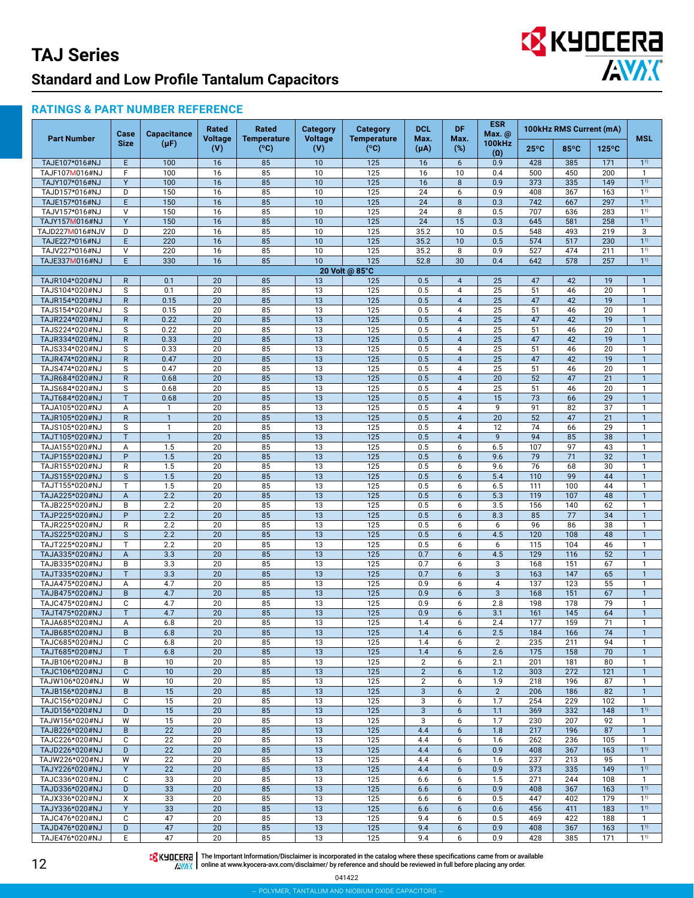# EX KYOCERA

#### **RATINGS & PART NUMBER REFERENCE**

|                                  | Case              | <b>Capacitance</b> | Rated                 | Rated                      | Category              | <b>Category</b>            | <b>DCL</b>        | <b>DF</b>                        | <b>ESR</b><br>Max. @ |                 | 100kHz RMS Current (mA) |                 | <b>MSL</b>                   |
|----------------------------------|-------------------|--------------------|-----------------------|----------------------------|-----------------------|----------------------------|-------------------|----------------------------------|----------------------|-----------------|-------------------------|-----------------|------------------------------|
| <b>Part Number</b>               | <b>Size</b>       | $(\mu F)$          | <b>Voltage</b><br>(V) | <b>Temperature</b><br>(°C) | <b>Voltage</b><br>(V) | <b>Temperature</b><br>(°C) | Max.<br>$(\mu A)$ | Max.<br>(%)                      | <b>100kHz</b><br>(0) | $25^{\circ}$ C  | 85°C                    | $125^{\circ}$ C |                              |
| TAJE107*016#NJ                   | $\mathsf E$       | 100                | 16                    | 85                         | 10                    | 125                        | 16                | 6                                | 0.9                  | 428             | 385                     | 171             | $1^{1}$                      |
| TAJF107M016#NJ                   | F                 | 100                | 16                    | 85                         | 10                    | 125                        | 16                | 10                               | 0.4                  | 500             | 450                     | 200             |                              |
| TAJY107*016#NJ                   | Y                 | $\overline{100}$   | 16                    | 85                         | 10                    | 125                        | 16                | 8                                | 0.9                  | 373             | 335                     | 149             | 1 <sup>1</sup>               |
| TAJD157*016#NJ                   | D                 | 150                | 16                    | 85                         | 10                    | 125                        | 24                | 6                                | 0.9                  | 408             | 367                     | 163             | 1 <sup>1</sup>               |
| TAJE157*016#NJ                   | E                 | 150                | 16                    | 85                         | 10                    | 125                        | 24                | 8                                | 0.3                  | 742             | 667                     | 297             | $1^{1}$                      |
| TAJV157*016#NJ                   | $\vee$            | 150                | 16                    | 85                         | 10                    | 125                        | 24                | 8                                | 0.5                  | 707             | 636                     | 283             | 1 <sup>1</sup>               |
| TAJY157M016#NJ                   | Y                 | 150                | 16                    | 85                         | 10                    | 125                        | 24                | 15                               | 0.3                  | 645             | 581                     | 258             | $\overline{1}$ <sup>1)</sup> |
| TAJD227M016#NJV                  | D                 | 220                | 16                    | 85                         | 10                    | 125                        | 35.2              | 10                               | 0.5                  | 548             | 493                     | 219             | 3                            |
| TAJE227*016#NJ                   | E                 | 220                | 16                    | 85                         | 10                    | 125                        | 35.2              | 10                               | 0.5                  | 574             | 517                     | 230             | 1 <sup>1</sup>               |
| TAJV227*016#NJ                   | $\vee$            | 220                | 16                    | 85                         | 10                    | 125                        | 35.2              | 8                                | 0.9                  | 527             | 474                     | 211             | 1 <sup>1</sup>               |
| TAJE337M016#NJ                   | E                 | 330                | 16                    | 85                         | 10                    | 125                        | 52.8              | 30                               | 0.4                  | 642             | 578                     | 257             | $1^{1}$                      |
|                                  |                   |                    |                       |                            |                       | 20 Volt @ 85°C             |                   |                                  |                      |                 |                         |                 |                              |
| TAJR104*020#NJ                   | $\mathsf{R}$      | 0.1                | 20                    | 85                         | 13                    | 125                        | 0.5               | $\overline{4}$                   | 25                   | 47              | 42                      | 19              | $\mathbf{1}$                 |
| TAJS104*020#NJ                   | S<br>$\mathsf{R}$ | 0.1<br>0.15        | 20<br>20              | 85<br>85                   | 13                    | 125<br>125                 | 0.5<br>0.5        | $\overline{4}$<br>$\overline{4}$ | 25<br>25             | 51<br>47        | 46<br>42                | 20<br>19        | $\mathbf{1}$                 |
| TAJR154*020#NJ<br>TAJS154*020#NJ | S                 | 0.15               | 20                    | 85                         | 13<br>13              | 125                        | 0.5               | $\overline{4}$                   | 25                   | 51              | 46                      | 20              | $\mathbf{1}$<br>1            |
| TAJR224*020#NJ                   | $\mathsf{R}$      | 0.22               | 20                    | 85                         | 13                    | 125                        | 0.5               | $\overline{4}$                   | 25                   | 47              | 42                      | 19              |                              |
| TAJS224*020#NJ                   | S                 | 0.22               | 20                    | 85                         | 13                    | 125                        | 0.5               | 4                                | 25                   | 51              | 46                      | 20              |                              |
| TAJR334*020#NJ                   | $\mathsf{R}$      | 0.33               | 20                    | 85                         | 13                    | 125                        | 0.5               | $\overline{4}$                   | 25                   | 47              | 42                      | 19              |                              |
| TAJS334*020#NJ                   | S                 | 0.33               | 20                    | 85                         | 13                    | 125                        | 0.5               | 4                                | 25                   | 51              | 46                      | 20              | 1                            |
| TAJR474*020#NJ                   | $\mathsf{R}$      | 0.47               | 20                    | 85                         | 13                    | 125                        | 0.5               | $\overline{4}$                   | 25                   | 47              | 42                      | 19              | $\mathbf{1}$                 |
| TAJS474*020#NJ                   | S                 | 0.47               | 20                    | 85                         | 13                    | 125                        | 0.5               | $\overline{4}$                   | 25                   | 51              | 46                      | 20              | $\mathbf{1}$                 |
| TAJR684*020#NJ                   | $\mathsf{R}$      | 0.68               | 20                    | 85                         | 13                    | 125                        | 0.5               | $\overline{4}$                   | 20                   | 52              | 47                      | 21              |                              |
| TAJS684*020#NJ                   | S                 | 0.68               | 20                    | 85                         | $\overline{13}$       | 125                        | 0.5               | $\overline{4}$                   | $\overline{25}$      | 51              | 46                      | 20              | 1                            |
| TAJT684*020#NJ                   | T                 | 0.68               | 20                    | 85                         | 13                    | 125                        | 0.5               | $\overline{4}$                   | 15                   | 73              | 66                      | $\overline{29}$ |                              |
| TAJA105*020#NJ                   | A                 | $\mathbf{1}$       | 20                    | 85                         | 13                    | 125                        | 0.5               | $\overline{4}$                   | 9                    | 91              | 82                      | 37              | 1                            |
| TAJR105*020#NJ                   | $\mathsf{R}$      | $\mathbf{1}$       | 20                    | 85                         | 13                    | 125                        | 0.5               | $\overline{4}$                   | $\overline{20}$      | 52              | 47                      | 21              |                              |
| TAJS105*020#NJ                   | S                 | $\mathbf{1}$       | 20                    | 85                         | $\overline{13}$       | 125                        | 0.5               | 4                                | 12                   | $\overline{74}$ | 66                      | $\overline{29}$ | $\mathbf{1}$                 |
| TAJT105*020#NJ                   | T                 | $\mathbf{1}$       | $\overline{20}$       | 85                         | $\overline{13}$       | 125                        | 0.5               | $\overline{4}$                   | $\overline{9}$       | 94              | 85                      | 38              | $\mathbf{1}$                 |
| TAJA155*020#NJ                   | A                 | 1.5                | 20                    | 85                         | 13                    | 125                        | 0.5               | 6                                | 6.5                  | 107             | 97                      | 43              | 1                            |
| TAJP155*020#NJ                   | P                 | 1.5                | 20                    | 85                         | 13                    | 125                        | 0.5               | 6                                | 9.6                  | 79              | $\overline{71}$         | 32              | 1                            |
| TAJR155*020#NJ                   | R                 | 1.5                | 20                    | 85                         | 13                    | 125                        | 0.5               | 6                                | 9.6                  | 76              | 68                      | 30              | 1                            |
| TAJS155*020#NJ                   | $\mathsf{s}$      | 1.5                | 20                    | 85                         | $\overline{13}$       | 125                        | 0.5               | 6                                | 5.4                  | 110             | 99                      | 44              |                              |
| TAJT155*020#NJ                   | T                 | 1.5                | 20                    | 85                         | 13                    | 125                        | 0.5               | 6                                | 6.5                  | 111             | 100                     | 44              |                              |
| TAJA225*020#NJ                   | $\overline{A}$    | 2.2                | 20                    | 85                         | 13                    | 125                        | 0.5               | 6                                | 5.3                  | 119             | 107                     | 48              |                              |
| TAJB225*020#NJ                   | B                 | 2.2                | 20                    | 85                         | 13                    | 125                        | 0.5               | 6                                | 3.5                  | 156             | 140                     | 62              | $\mathbf{1}$                 |
| TAJP225*020#NJ                   | $\overline{P}$    | 2.2                | $\overline{20}$       | 85                         | 13                    | 125                        | 0.5               | 6                                | 8.3                  | 85              | 77                      | 34              |                              |
| TAJR225*020#NJ                   | $\mathsf{R}$      | 2.2                | 20                    | 85                         | 13                    | 125                        | 0.5               | 6                                | 6                    | 96              | 86                      | 38              | $\mathbf{1}$                 |
| TAJS225*020#NJ                   | S                 | 2.2                | 20                    | 85                         | 13                    | 125                        | 0.5               | 6                                | 4.5                  | 120             | 108                     | 48              |                              |
| TAJT225*020#NJ                   | T                 | 2.2                | 20                    | 85<br>85                   | 13                    | 125                        | 0.5               | 6                                | 6                    | 115<br>129      | 104                     | 46<br>52        | 1                            |
| TAJA335*020#NJ<br>TAJB335*020#NJ | A<br>B            | 3.3<br>3.3         | 20<br>20              | 85                         | 13<br>13              | 125<br>125                 | 0.7<br>0.7        | 6<br>6                           | 4.5<br>3             | 168             | 116<br>151              | 67              |                              |
| TAJT335*020#NJ                   | T                 | 3.3                | 20                    | 85                         | 13                    | 125                        | 0.7               | 6                                | $\mathbf{3}$         | 163             | 147                     | 65              | $\mathbf{1}$                 |
| TAJA475*020#NJ                   | Α                 | 4.7                | 20                    | 85                         | 13                    | 125                        | 0.9               | 6                                | $\overline{4}$       | 137             | 123                     | 55              | 1                            |
| TAJB475*020#NJ                   | B                 | 4.7                | 20                    | 85                         | 13                    | 125                        | 0.9               | 6                                | $\overline{3}$       | 168             | 151                     | 67              | $\mathbf{1}$                 |
| TAJC475*020#NJ                   | C                 | 4.7                | 20                    | 85                         | 13                    | 125                        | 0.9               | 6                                | 2.8                  | 198             | 178                     | 79              | 1                            |
| TAJT475*020#NJ                   | T                 | 4.7                | 20                    | 85                         | 13                    | 125                        | 0.9               | 6                                | 3.1                  | 161             | 145                     | 64              | $\mathbf{1}$                 |
| TAJA685*020#NJ                   | A                 | 6.8                | 20                    | 85                         | 13                    | 125                        | 1.4               | 6                                | 2.4                  | 177             | 159                     | 71              | 1                            |
| TAJB685*020#NJ                   | B                 | 6.8                | 20                    | 85                         | 13                    | 125                        | 1.4               | 6                                | 2.5                  | 184             | 166                     | 74              |                              |
| TAJC685*020#NJ                   | C                 | 6.8                | 20                    | 85                         | 13                    | 125                        | 1.4               | 6                                | 2                    | 235             | 211                     | 94              |                              |
| TAJT685*020#NJ                   | T                 | 6.8                | 20                    | 85                         | 13                    | 125                        | 1.4               | 6                                | 2.6                  | 175             | 158                     | 70              | $\mathbf{1}$                 |
| TAJB106*020#NJ                   | B                 | 10                 | 20                    | 85                         | 13                    | 125                        | $\overline{2}$    | 6                                | 2.1                  | 201             | 181                     | 80              | $\mathbf{1}$                 |
| TAJC106*020#NJ                   | $\mathsf{C}$      | 10                 | 20                    | 85                         | 13                    | 125                        | $\overline{2}$    | 6                                | 1.2                  | 303             | 272                     | 121             | $\mathbf 1$                  |
| TAJW106*020#NJ                   | W                 | 10                 | 20                    | 85                         | 13                    | 125                        | $\overline{2}$    | 6                                | 1.9                  | 218             | 196                     | 87              | $\mathbf{1}$                 |
| TAJB156*020#NJ                   | B                 | 15                 | 20                    | 85                         | 13                    | 125                        | $\sqrt{3}$        | 6                                | $\overline{2}$       | 206             | 186                     | 82              | $\mathbf{1}$                 |
| TAJC156*020#NJ                   | C                 | 15                 | 20                    | 85                         | 13                    | 125                        | 3                 | 6                                | 1.7                  | 254             | 229                     | 102             | $\mathbf{1}$                 |
| TAJD156*020#NJ                   | D                 | 15                 | 20                    | 85                         | 13                    | 125                        | $\sqrt{3}$        | 6                                | 1.1                  | 369             | 332                     | 148             | 1 <sup>1</sup>               |
| TAJW156*020#NJ                   | W                 | 15                 | 20                    | 85                         | 13                    | 125                        | 3                 | 6                                | 1.7                  | 230             | 207                     | 92              | 1                            |
| TAJB226*020#NJ                   | B                 | 22                 | 20                    | 85                         | 13                    | 125                        | 4.4               | 6                                | 1.8                  | 217             | 196                     | 87              | $\mathbf{1}$                 |
| TAJC226*020#NJ                   | C                 | 22                 | 20                    | 85                         | 13                    | 125                        | 4.4               | 6                                | 1.6                  | 262             | 236                     | 105             | $\mathbf{1}$                 |
| TAJD226*020#NJ                   | D                 | 22                 | 20                    | 85                         | 13                    | 125                        | 4.4               | $6\phantom{1}$                   | 0.9                  | 408             | 367                     | 163             | $1^{1}$                      |
| TAJW226*020#NJ                   | W                 | 22                 | 20                    | 85                         | 13                    | 125                        | 4.4               | 6                                | 1.6                  | 237             | 213                     | 95              | $\mathbf{1}$                 |
| TAJY226*020#NJ                   | Y                 | 22                 | 20                    | 85                         | 13                    | 125                        | 4.4               | 6                                | 0.9                  | 373             | 335                     | 149             | $1^{1}$                      |
| TAJC336*020#NJ                   | C                 | 33                 | 20                    | 85                         | 13                    | 125                        | 6.6               | 6                                | 1.5                  | 271             | 244                     | 108             | $\mathbf{1}$                 |
| TAJD336*020#NJ                   | D                 | 33                 | 20<br>20              | 85                         | 13                    | 125                        | 6.6               | 6                                | 0.9<br>0.5           | 408             | 367                     | 163<br>179      | $1^{1}$<br>1 <sup>1</sup>    |
| TAJX336*020#NJ                   | Χ<br>Y            | 33                 | 20                    | 85<br>85                   | 13                    | 125<br>125                 | 6.6               | 6                                |                      | 447<br>456      | 402                     | 183             | $1^{1}$                      |
| TAJY336*020#NJ<br>TAJC476*020#NJ | C                 | 33<br>47           | 20                    | 85                         | 13<br>13              | 125                        | 6.6<br>9.4        | 6<br>6                           | 0.6<br>0.5           | 469             | 411<br>422              | 188             | $\mathbf{1}$                 |
| TAJD476*020#NJ                   | D                 | 47                 | 20                    | 85                         | 13                    | 125                        | 9.4               | $6\phantom{1}$                   | 0.9                  | 408             | 367                     | 163             | $1^{1}$                      |
| TAJE476*020#NJ                   | E                 | 47                 | 20                    | 85                         | 13                    | 125                        | 9.4               | 6                                | 0.9                  | 428             | 385                     | 171             | $1^{1}$                      |

12

The Important Information/Disclaimer is incorporated in the catalog where these specifications came from or available<br>online at [www.kyocera-avx.com/disclaimer/](http://www.kyocera-avx.com/disclaimer/) by reference and should be reviewed in full before placing any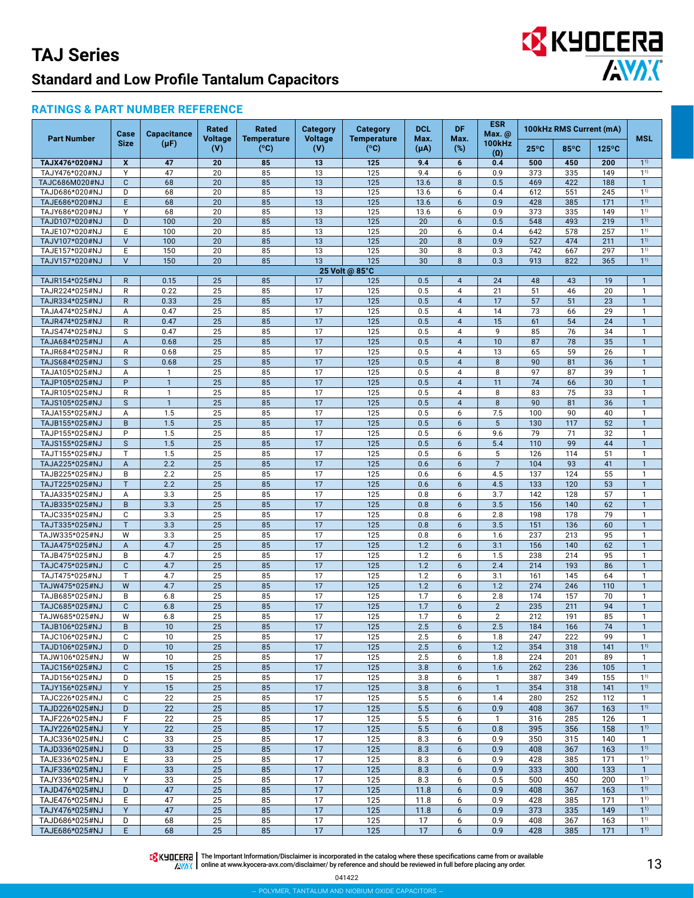#### **RATINGS & PART NUMBER REFERENCE**

| <b>Part Number</b>               | Case                           | <b>Capacitance</b> | <b>Rated</b><br>Voltage | Rated<br><b>Temperature</b> | <b>Category</b><br><b>Voltage</b> | <b>Category</b><br><b>Temperature</b> | <b>DCL</b><br>Max. | <b>DF</b><br>Max.                | <b>ESR</b><br>Max. @        |                | 100kHz RMS Current (mA) |                 | <b>MSL</b>                   |
|----------------------------------|--------------------------------|--------------------|-------------------------|-----------------------------|-----------------------------------|---------------------------------------|--------------------|----------------------------------|-----------------------------|----------------|-------------------------|-----------------|------------------------------|
|                                  | <b>Size</b>                    | $(\mu F)$          | (V)                     | (°C)                        | (V)                               | (°C)                                  | $(\mu A)$          | $(\%)$                           | <b>100kHz</b><br>$(\Omega)$ | $25^{\circ}$ C | $85^{\circ}$ C          | $125^{\circ}$ C |                              |
| TAJX476*020#NJ                   | X                              | 47                 | 20                      | 85                          | 13                                | 125                                   | 9.4                | 6                                | 0.4                         | 500            | 450                     | 200             | $1^{1}$                      |
| TAJY476*020#NJ                   | Y                              | 47                 | 20                      | 85                          | 13                                | 125                                   | 9.4                | 6                                | 0.9                         | 373            | 335                     | 149             | $1^{1}$                      |
| TAJC686M020#NJ<br>TAJD686*020#NJ | $\mathbf{C}$<br>D              | 68<br>68           | 20<br>20                | 85<br>85                    | 13<br>13                          | 125<br>125                            | 13.6<br>13.6       | 8<br>6                           | 0.5<br>0.4                  | 469<br>612     | 422<br>551              | 188<br>245      | $\mathbf{1}$<br>$1^{1}$      |
| TAJE686*020#NJ                   | E                              | 68                 | 20                      | 85                          | 13                                | 125                                   | 13.6               | 6                                | 0.9                         | 428            | 385                     | 171             | $1^{1}$                      |
| TAJY686*020#NJ                   | Y                              | 68                 | 20                      | 85                          | 13                                | 125                                   | 13.6               | 6                                | 0.9                         | 373            | 335                     | 149             | 1 <sup>1</sup>               |
| TAJD107*020#NJ                   | D                              | 100                | 20                      | 85                          | 13                                | 125                                   | 20                 | 6                                | 0.5                         | 548            | 493                     | 219             | $1^{1}$                      |
| TAJE107*020#NJ                   | E                              | 100                | 20                      | 85                          | $\overline{13}$                   | 125                                   | $\overline{20}$    | 6                                | 0.4                         | 642            | 578                     | 257             | $1^{1}$                      |
| TAJV107*020#NJ                   | $\vee$                         | 100                | 20                      | 85                          | 13                                | 125                                   | 20                 | 8                                | 0.9                         | 527            | 474                     | 211             | 1 <sup>1</sup>               |
| TAJE157*020#NJ                   | E                              | 150                | 20                      | 85                          | 13                                | 125                                   | 30                 | 8                                | 0.3                         | 742            | 667                     | 297             | 1 <sup>1</sup>               |
| TAJV157*020#NJ                   | $\vee$                         | 150                | 20                      | 85                          | 13                                | 125<br>25 Volt @ 85°C                 | 30                 | 8                                | 0.3                         | 913            | 822                     | 365             | $1^{1}$                      |
| TAJR154*025#NJ                   | R                              | 0.15               | 25                      | 85                          | 17                                | 125                                   | 0.5                | $\overline{4}$                   | 24                          | 48             | 43                      | 19              | $\mathbf{1}$                 |
| TAJR224*025#NJ                   | $\mathsf{R}$                   | 0.22               | 25                      | 85                          | 17                                | 125                                   | 0.5                | $\overline{4}$                   | 21                          | 51             | 46                      | 20              | $\mathbf{1}$                 |
| TAJR334*025#NJ                   | $\mathsf{R}$                   | 0.33               | 25                      | 85                          | 17                                | 125                                   | 0.5                | $\overline{4}$                   | 17                          | 57             | 51                      | 23              | $\mathbf{1}$                 |
| TAJA474*025#NJ                   | Α                              | 0.47               | 25                      | 85                          | 17                                | 125                                   | 0.5                | 4                                | 14                          | 73             | 66                      | 29              | $\mathbf{1}$                 |
| TAJR474*025#NJ                   | $\mathsf{R}$                   | 0.47               | 25                      | 85                          | $\overline{17}$                   | 125                                   | 0.5                | $\overline{4}$                   | 15                          | 61             | 54                      | 24              | $\mathbf{1}$                 |
| TAJS474*025#NJ                   | S                              | 0.47               | 25                      | 85                          | 17                                | 125                                   | 0.5                | $\overline{4}$                   | 9                           | 85             | 76                      | 34              | $\mathbf{1}$                 |
| TAJA684*025#NJ<br>TAJR684*025#NJ | $\boldsymbol{\mathsf{A}}$<br>R | 0.68<br>0.68       | 25<br>25                | 85<br>85                    | 17<br>17                          | 125<br>125                            | 0.5<br>0.5         | $\overline{4}$<br>$\overline{4}$ | 10<br>13                    | 87<br>65       | 78<br>59                | 35<br>26        | $\mathbf{1}$<br>$\mathbf{1}$ |
| TAJS684*025#NJ                   | $\mathsf{s}$                   | 0.68               | 25                      | 85                          | 17                                | 125                                   | 0.5                | $\overline{4}$                   | 8                           | 90             | 81                      | 36              | $\mathbf{1}$                 |
| TAJA105*025#NJ                   | Α                              | $\mathbf{1}$       | 25                      | 85                          | 17                                | 125                                   | 0.5                | 4                                | 8                           | 97             | 87                      | 39              | $\mathbf{1}$                 |
| TAJP105*025#NJ                   | P                              | $\mathbf{1}$       | 25                      | 85                          | 17                                | 125                                   | 0.5                | $\overline{4}$                   | 11                          | 74             | 66                      | 30              | $\mathbf{1}$                 |
| TAJR105*025#NJ                   | R                              | $\mathbf{1}$       | 25                      | 85                          | 17                                | 125                                   | 0.5                | 4                                | 8                           | 83             | 75                      | 33              | $\mathbf{1}$                 |
| TAJS105*025#NJ                   | $\mathsf S$                    | $\mathbf{1}$       | 25                      | 85                          | $\overline{17}$                   | 125                                   | 0.5                | $\overline{4}$                   | 8                           | 90             | 81                      | 36              | $\mathbf{1}$                 |
| TAJA155*025#NJ                   | Α                              | 1.5                | 25                      | 85                          | 17                                | 125                                   | 0.5                | 6                                | 7.5                         | 100            | 90                      | 40              | $\mathbf{1}$                 |
| TAJB155*025#NJ                   | B                              | 1.5                | 25                      | 85                          | 17                                | 125                                   | 0.5                | 6                                | 5                           | 130            | 117                     | 52              | $\mathbf{1}$                 |
| TAJP155*025#NJ                   | P                              | 1.5                | 25                      | 85                          | 17                                | 125                                   | 0.5                | 6                                | 9.6                         | 79             | 71                      | 32              | $\mathbf{1}$                 |
| TAJS155*025#NJ                   | $\mathsf S$                    | 1.5                | 25                      | 85                          | $\overline{17}$                   | 125                                   | 0.5                | 6                                | 5.4                         | 110            | 99                      | 44              | $\mathbf{1}$                 |
| TAJT155*025#NJ                   | T.                             | 1.5                | 25                      | 85                          | 17<br>$\overline{17}$             | 125                                   | 0.5                | 6                                | 5<br>$\overline{7}$         | 126<br>104     | 114                     | 51              | $\mathbf{1}$                 |
| TAJA225*025#NJ<br>TAJB225*025#NJ | A<br>B                         | 2.2<br>2.2         | 25<br>25                | 85<br>85                    | 17                                | 125<br>125                            | 0.6<br>0.6         | 6<br>6                           | 4.5                         | 137            | 93<br>124               | 41<br>55        | $\mathbf{1}$<br>$\mathbf{1}$ |
| TAJT225*025#NJ                   | T.                             | 2.2                | 25                      | 85                          | $\overline{17}$                   | 125                                   | 0.6                | 6                                | 4.5                         | 133            | 120                     | 53              | $\mathbf{1}$                 |
| TAJA335*025#NJ                   | Α                              | 3.3                | 25                      | 85                          | 17                                | 125                                   | 0.8                | 6                                | 3.7                         | 142            | 128                     | 57              | $\mathbf{1}$                 |
| TAJB335*025#NJ                   | B                              | 3.3                | 25                      | 85                          | 17                                | 125                                   | 0.8                | 6                                | 3.5                         | 156            | 140                     | 62              | $\mathbf{1}$                 |
| TAJC335*025#NJ                   | C                              | 3.3                | 25                      | 85                          | 17                                | 125                                   | 0.8                | 6                                | 2.8                         | 198            | 178                     | 79              | $\mathbf{1}$                 |
| TAJT335*025#NJ                   | T.                             | 3.3                | 25                      | 85                          | 17                                | 125                                   | 0.8                | 6                                | 3.5                         | 151            | 136                     | 60              | $\mathbf{1}$                 |
| TAJW335*025#NJ                   | W                              | 3.3                | 25                      | 85                          | 17                                | 125                                   | 0.8                | 6                                | 1.6                         | 237            | 213                     | 95              | $\mathbf{1}$                 |
| TAJA475*025#NJ                   | A                              | 4.7                | 25                      | 85                          | $\overline{17}$                   | 125                                   | 1.2                | 6                                | 3.1                         | 156            | 140                     | 62              | $\mathbf{1}$                 |
| TAJB475*025#NJ                   | B                              | 4.7                | 25                      | 85                          | 17                                | 125                                   | 1.2                | 6                                | 1.5                         | 238            | 214                     | 95              | $\mathbf{1}$                 |
| TAJC475*025#NJ<br>TAJT475*025#NJ | $\mathbf{C}$<br>$\mathsf{T}$   | 4.7<br>4.7         | 25<br>25                | 85<br>85                    | $\overline{17}$<br>17             | 125<br>125                            | 1.2<br>1.2         | 6<br>6                           | 2.4<br>3.1                  | 214<br>161     | 193<br>145              | 86<br>64        | $\mathbf{1}$<br>$\mathbf{1}$ |
| TAJW475*025#NJ                   | W                              | 4.7                | 25                      | 85                          | $\overline{17}$                   | 125                                   | 1.2                | 6                                | 1.2                         | 274            | 246                     | 110             | $\mathbf{1}$                 |
| TAJB685*025#NJ                   | B                              | 6.8                | 25                      | 85                          | 17                                | 125                                   | 1.7                | 6                                | 2.8                         | 174            | 157                     | 70              | $\mathbf{1}$                 |
| TAJC685*025#NJ                   | $\mathbf{C}$                   | 6.8                | 25                      | 85                          | $\overline{17}$                   | 125                                   | 1.7                | 6                                | $\overline{2}$              | 235            | 211                     | 94              | $\mathbf{1}$                 |
| TAJW685*025#NJ                   | W                              | 6.8                | 25                      | 85                          | $\overline{17}$                   | 125                                   | 1.7                | 6                                | $\overline{2}$              | 212            | 191                     | 85              | $\mathbf{1}$                 |
| TAJB106*025#NJ                   | B                              | 10                 | $\overline{25}$         | 85                          | $\overline{17}$                   | 125                                   | 2.5                | 6                                | 2.5                         | 184            | 166                     | $\overline{74}$ | $\mathbf{1}$                 |
| TAJC106*025#NJ                   | C                              | 10                 | 25                      | 85                          | 17                                | 125                                   | 2.5                | 6                                | 1.8                         | 247            | 222                     | 99              | $\mathbf{1}$                 |
| TAJD106*025#NJ                   | D                              | 10                 | 25                      | 85                          | 17                                | 125                                   | 2.5                | 6                                | 1.2                         | 354            | 318                     | 141             | $1^{1}$                      |
| TAJW106*025#NJ                   | W                              | 10                 | 25                      | 85                          | 17                                | 125                                   | 2.5                | 6                                | 1.8                         | 224            | 201                     | 89              | $\mathbf{1}$                 |
| TAJC156*025#NJ                   | $\mathbf{C}$                   | 15                 | 25                      | 85                          | 17                                | 125                                   | 3.8                | 6                                | 1.6                         | 262            | 236                     | 105             | $\mathbf{1}$                 |
| TAJD156*025#NJ                   | D                              | 15                 | 25                      | 85                          | 17                                | 125                                   | 3.8                | 6                                | $\mathbf{1}$                | 387            | 349                     | 155             | $1^{1}$<br>$1^{1}$           |
| TAJY156*025#NJ<br>TAJC226*025#NJ | Y<br>C                         | 15<br>22           | 25<br>25                | 85<br>85                    | 17<br>17                          | 125<br>125                            | 3.8<br>5.5         | 6<br>6                           | $\mathbf{1}$<br>1.4         | 354<br>280     | 318<br>252              | 141<br>112      | $\mathbf{1}$                 |
| TAJD226*025#NJ                   | D                              | 22                 | 25                      | 85                          | 17                                | 125                                   | 5.5                | 6                                | 0.9                         | 408            | 367                     | 163             | 1 <sup>1</sup>               |
| TAJF226*025#NJ                   | F                              | 22                 | 25                      | 85                          | 17                                | 125                                   | 5.5                | 6                                | $\mathbf{1}$                | 316            | 285                     | 126             | $\mathbf{1}$                 |
| TAJY226*025#NJ                   | Y                              | 22                 | 25                      | 85                          | 17                                | 125                                   | 5.5                | 6                                | 0.8                         | 395            | 356                     | 158             | 1 <sup>1</sup>               |
| TAJC336*025#NJ                   | C                              | 33                 | 25                      | 85                          | 17                                | 125                                   | 8.3                | 6                                | 0.9                         | 350            | 315                     | 140             | $\mathbf{1}$                 |
| TAJD336*025#NJ                   | D                              | 33                 | 25                      | 85                          | 17                                | 125                                   | 8.3                | 6                                | 0.9                         | 408            | 367                     | 163             | $1^{1}$                      |
| TAJE336*025#NJ                   | Е                              | 33                 | 25                      | 85                          | 17                                | 125                                   | 8.3                | 6                                | 0.9                         | 428            | 385                     | 171             | $1^{1}$                      |
| TAJF336*025#NJ                   | F                              | 33                 | 25                      | 85                          | 17                                | 125                                   | 8.3                | 6                                | 0.9                         | 333            | 300                     | 133             | $\mathbf{1}$                 |
| TAJY336*025#NJ                   | Υ                              | 33                 | 25                      | 85                          | 17                                | 125                                   | 8.3                | 6                                | 0.5                         | 500            | 450                     | 200             | 1 <sup>1</sup>               |
| TAJD476*025#NJ<br>TAJE476*025#NJ | D<br>Е                         | 47<br>47           | 25<br>25                | 85<br>85                    | 17<br>17                          | 125<br>125                            | 11.8<br>11.8       | 6                                | 0.9<br>0.9                  | 408<br>428     | 367<br>385              | 163<br>171      | $1^{1}$<br>1 <sup>1</sup>    |
| TAJY476*025#NJ                   | Y                              | 47                 | 25                      | 85                          | 17                                | 125                                   | 11.8               | 6<br>6                           | 0.9                         | 373            | 335                     | 149             | 1 <sup>1</sup>               |
| TAJD686*025#NJ                   | D                              | 68                 | 25                      | 85                          | 17                                | 125                                   | 17                 | 6                                | 0.9                         | 408            | 367                     | 163             | $1^{1}$                      |
| TAJE686*025#NJ                   | E                              | 68                 | 25                      | 85                          | 17                                | 125                                   | 17                 | 6                                | 0.9                         | 428            | 385                     | 171             | $1^{1}$                      |

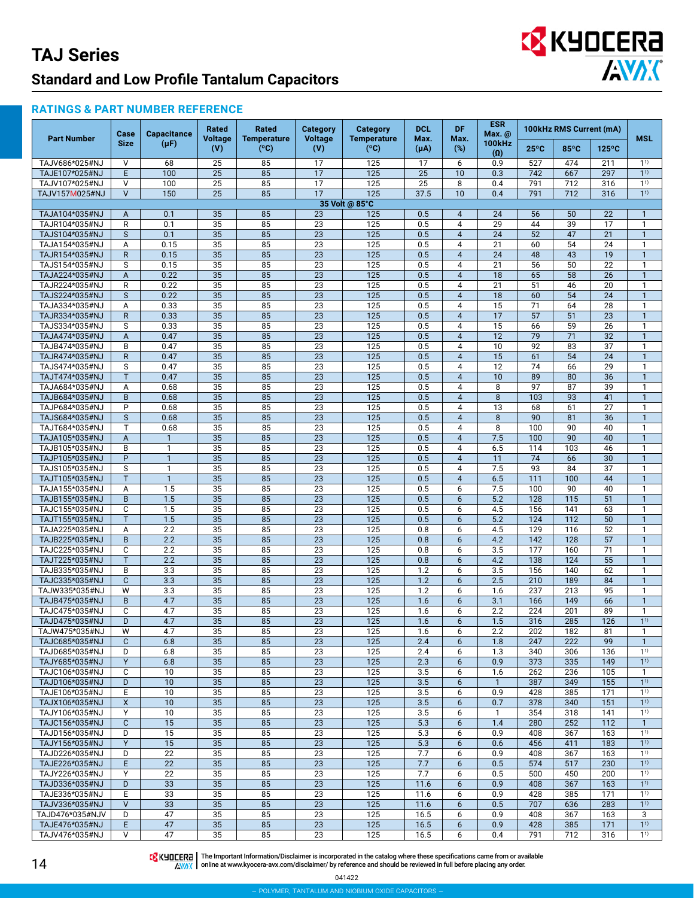# EX KYOCERA

#### **RATINGS & PART NUMBER REFERENCE**

| <b>Part Number</b>                | Case<br><b>Size</b> | <b>Capacitance</b><br>(µF) | Rated<br><b>Voltage</b><br>(V) | Rated<br><b>Temperature</b><br>(°C) | <b>Category</b><br><b>Voltage</b><br>(V) | <b>Category</b><br><b>Temperature</b><br>(°C) | <b>DCL</b><br>Max.<br>$(\mu A)$ | <b>DF</b><br>Max.<br>(%) | <b>ESR</b><br>Max. @<br>100kHz<br>$(\Omega)$ | 100kHz RMS Current (mA)             |                       |                       | <b>MSL</b>                   |
|-----------------------------------|---------------------|----------------------------|--------------------------------|-------------------------------------|------------------------------------------|-----------------------------------------------|---------------------------------|--------------------------|----------------------------------------------|-------------------------------------|-----------------------|-----------------------|------------------------------|
|                                   |                     |                            |                                |                                     |                                          |                                               |                                 |                          |                                              | $25^{\circ}$ C                      | 85°C                  | $125^{\circ}$ C       |                              |
| TAJV686*025#NJ                    | $\vee$              | 68                         | 25                             | 85                                  | 17                                       | 125                                           | 17                              | 6                        | 0.9                                          | 527                                 | 474                   | 211                   | 1 <sup>1</sup>               |
| TAJE107*025#NJ                    | E                   | 100                        | 25                             | 85                                  | 17                                       | 125                                           | 25                              | 10                       | 0.3                                          | 742                                 | 667                   | 297                   | 1 <sup>1</sup>               |
| TAJV107*025#NJ                    | $\vee$              | 100                        | 25                             | 85                                  | 17                                       | 125                                           | 25                              | 8                        | 0.4                                          | 791                                 | 712                   | 316                   | 1 <sup>1</sup>               |
| TAJV157M025#NJ                    | $\vee$              | 150                        | 25                             | 85                                  | 17                                       | 125                                           | 37.5                            | 10                       | 0.4                                          | 791                                 | 712                   | 316                   | 1 <sup>1</sup>               |
| TAJA104*035#NJ                    | A                   | 0.1                        | 35                             | 85                                  | 23                                       | 35 Volt @ 85°C<br>125                         | 0.5                             | $\overline{4}$           | 24                                           | 56                                  | 50                    | 22                    | $\mathbf{1}$                 |
| TAJR104*035#NJ                    | R                   | 0.1                        | 35                             | 85                                  | 23                                       | 125                                           | 0.5                             | 4                        | 29                                           | 44                                  | 39                    | 17                    | 1                            |
| TAJS104*035#NJ                    | S                   | 0.1                        | 35                             | 85                                  | 23                                       | $\overline{125}$                              | 0.5                             | $\overline{4}$           | 24                                           | 52                                  | 47                    | $\overline{21}$       | $\mathbf{1}$                 |
| TAJA154*035#NJ                    | A                   | 0.15                       | 35                             | 85                                  | 23                                       | 125                                           | 0.5                             | 4                        | 21                                           | 60                                  | 54                    | 24                    | 1                            |
| TAJR154*035#NJ                    | $\mathsf{R}$        | 0.15                       | 35                             | 85                                  | 23                                       | 125                                           | 0.5                             | $\overline{4}$           | 24                                           | 48                                  | 43                    | 19                    | $\mathbf{1}$                 |
| TAJS154*035#NJ                    | S                   | 0.15                       | 35                             | 85                                  | 23                                       | 125                                           | 0.5                             | 4                        | 21                                           | 56                                  | 50                    | $\overline{22}$       | 1                            |
| TAJA224*035#NJ                    | $\overline{A}$      | 0.22                       | 35                             | 85                                  | 23                                       | 125                                           | 0.5                             | $\overline{4}$           | 18                                           | 65                                  | 58                    | 26                    | $\mathbf{1}$                 |
| TAJR224*035#NJ                    | R                   | 0.22                       | 35                             | 85                                  | 23                                       | 125                                           | 0.5                             | 4                        | 21                                           | 51                                  | 46                    | 20                    | 1                            |
| TAJS224*035#NJ                    | S                   | 0.22                       | 35                             | 85                                  | 23                                       | 125                                           | 0.5                             | $\overline{4}$           | 18                                           | 60                                  | 54                    | 24                    | $\mathbf{1}$                 |
| TAJA334*035#NJ                    | A                   | 0.33                       | 35<br>35                       | 85<br>85                            | 23                                       | 125                                           | 0.5                             | 4<br>$\overline{4}$      | 15                                           | 71<br>57                            | 64                    | 28                    | 1                            |
| TAJR334*035#NJ<br>TAJS334*035#NJ  | $\mathsf{R}$<br>S   | 0.33<br>0.33               | 35                             | 85                                  | 23<br>23                                 | 125<br>125                                    | 0.5<br>0.5                      | 4                        | 17<br>15                                     | 66                                  | 51<br>59              | 23<br>26              | $\mathbf{1}$<br>1            |
| TAJA474*035#NJ                    | $\overline{A}$      | 0.47                       | $\overline{35}$                | 85                                  | 23                                       | 125                                           | 0.5                             | $\overline{4}$           | 12                                           | 79                                  | $\overline{71}$       | 32                    | $\mathbf{1}$                 |
| TAJB474*035#NJ                    | B                   | 0.47                       | 35                             | 85                                  | 23                                       | 125                                           | 0.5                             | 4                        | 10                                           | 92                                  | 83                    | 37                    | 1                            |
| TAJR474*035#NJ                    | $\mathsf{R}$        | 0.47                       | $\overline{35}$                | $\overline{85}$                     | 23                                       | 125                                           | 0.5                             | $\overline{4}$           | 15                                           | 61                                  | 54                    | $\overline{24}$       | $\mathbf{1}$                 |
| TAJS474*035#NJ                    | S                   | 0.47                       | $\overline{35}$                | $\overline{85}$                     | $\overline{23}$                          | 125                                           | 0.5                             | 4                        | $\overline{12}$                              | 74                                  | 66                    | $\overline{29}$       | 1                            |
| TAJT474*035#NJ                    | T                   | 0.47                       | $\overline{35}$                | $\overline{85}$                     | $\overline{23}$                          | 125                                           | 0.5                             | $\overline{4}$           | $\overline{10}$                              | 89                                  | 80                    | $\overline{36}$       | $\mathbf{1}$                 |
| TAJA684*035#NJ                    | Α                   | 0.68                       | $\overline{35}$                | 85                                  | $\overline{23}$                          | 125                                           | 0.5                             | 4                        | 8                                            | 97                                  | 87                    | 39                    | $\mathbf{1}$                 |
| TAJB684*035#NJ                    | B                   | 0.68                       | $\overline{35}$                | $\overline{85}$                     | $\overline{23}$                          | $\overline{125}$                              | 0.5                             | $\overline{4}$           | $\overline{8}$                               | 103                                 | $\overline{93}$       | $\overline{41}$       | $\mathbf{1}$                 |
| TAJP684*035#NJ<br>TAJS684*035#NJ  | P<br>S              | 0.68<br>0.68               | $\overline{35}$<br>35          | 85<br>85                            | $\overline{23}$<br>$\overline{23}$       | 125<br>125                                    | 0.5<br>0.5                      | 4<br>$\overline{4}$      | 13<br>8                                      | 68<br>90                            | 61<br>$\overline{81}$ | $\overline{27}$<br>36 | 1<br>$\mathbf{1}$            |
| TAJT684*035#NJ                    | $\mathsf{T}$        | 0.68                       | $\overline{35}$                | 85                                  | 23                                       | 125                                           | 0.5                             | 4                        | 8                                            | 100                                 | 90                    | 40                    | $\mathbf{1}$                 |
| TAJA105*035#NJ                    | A                   | $\mathbf{1}$               | 35                             | 85                                  | $\overline{23}$                          | 125                                           | 0.5                             | $\overline{4}$           | 7.5                                          | 100                                 | 90                    | 40                    | $\mathbf{1}$                 |
| TAJB105*035#NJ                    | B                   | 1                          | 35                             | 85                                  | 23                                       | 125                                           | 0.5                             | 4                        | 6.5                                          | 114                                 | 103                   | 46                    | 1                            |
| TAJP105*035#NJ                    | P                   | $\mathbf{1}$               | 35                             | 85                                  | $\overline{23}$                          | 125                                           | 0.5                             | $\overline{4}$           | 11                                           | $\overline{74}$                     | 66                    | 30                    | $\mathbf{1}$                 |
| TAJS105*035#NJ                    | S                   | 1                          | 35                             | 85                                  | 23                                       | 125                                           | 0.5                             | 4                        | 7.5                                          | 93                                  | 84                    | 37                    | 1                            |
| TAJT105*035#NJ                    | T                   | $\mathbf{1}$               | $\overline{35}$                | 85                                  | $\overline{23}$                          | $\overline{125}$                              | 0.5                             | $\overline{4}$           | 6.5                                          | $\overline{111}$                    | 100                   | 44                    |                              |
| TAJA155*035#NJ                    | Α                   | 1.5                        | 35                             | 85                                  | 23                                       | 125                                           | 0.5                             | 6                        | 7.5                                          | 100                                 | 90                    | 40                    | 1                            |
| TAJB155*035#NJ                    | B                   | 1.5                        | $\overline{35}$                | 85                                  | $\overline{23}$                          | 125                                           | 0.5                             | 6                        | $\overline{5.2}$                             | $\overline{128}$<br>$\frac{156}{ }$ | 115                   | $\overline{51}$       | $\mathbf{1}$<br>1            |
| TAJC155*035#NJ<br>TAJT155*035#NJ  | C<br>T              | 1.5<br>$\overline{1.5}$    | 35<br>$\overline{35}$          | 85<br>85                            | 23<br>23                                 | 125<br>125                                    | 0.5<br>0.5                      | 6<br>6                   | 4.5<br>$\overline{5.2}$                      | 124                                 | 141<br>112            | 63<br>$\overline{50}$ | $\mathbf{1}$                 |
| TAJA225*035#NJ                    | Α                   | 2.2                        | 35                             | 85                                  | 23                                       | 125                                           | 0.8                             | 6                        | 4.5                                          | 129                                 | 116                   | $\overline{52}$       | 1                            |
| TAJB225*035#NJ                    | B                   | 2.2                        | $\overline{35}$                | $\overline{85}$                     | $\overline{23}$                          | $\overline{125}$                              | 0.8                             | 6                        | 4.2                                          | $\overline{142}$                    | 128                   | $\overline{57}$       | 1                            |
| TAJC225*035#NJ                    | C                   | 2.2                        | $\overline{35}$                | $\overline{85}$                     | $\overline{23}$                          | 125                                           | 0.8                             | 6                        | $\overline{3.5}$                             | 177                                 | 160                   | $\overline{71}$       | 1                            |
| TAJT225*035#NJ                    | T                   | 2.2                        | $\overline{35}$                | 85                                  | $\overline{23}$                          | $\overline{125}$                              | 0.8                             | 6                        | 4.2                                          | 138                                 | 124                   | $\overline{55}$       | $\mathbf{1}$                 |
| TAJB335*035#NJ                    | B                   | 3.3                        | $\overline{35}$                | 85                                  | $\overline{23}$                          | 125                                           | 1.2                             | 6                        | 3.5                                          | 156                                 | 140                   | 62                    | 1                            |
| TAJC335*035#NJ                    | $\mathbf{C}$        | 3.3                        | $\overline{35}$                | 85                                  | $\overline{23}$                          | 125                                           | 1.2                             | 6                        | 2.5                                          | 210                                 | 189                   | 84                    | $\mathbf{1}$                 |
| TAJW335*035#NJ                    | W                   | 3.3                        | 35                             | 85                                  | $\overline{23}$                          | 125                                           | 1.2                             | 6                        | 1.6                                          | 237                                 | 213                   | 95                    | $\mathbf{1}$                 |
| TAJB475*035#NJ<br>TAJC475*035#NJ  | B<br>C              | 4.7<br>4.7                 | 35<br>35                       | 85<br>85                            | $\overline{23}$<br>$\overline{23}$       | 125<br>125                                    | 1.6<br>1.6                      | 6<br>6                   | 3.1<br>2.2                                   | 166<br>224                          | 149<br>201            | 66<br>89              | $\mathbf{1}$<br>$\mathbf{1}$ |
| TAJD475*035#NJ                    | D                   | 4.7                        | 35                             | 85                                  | $\overline{23}$                          | 125                                           | 1.6                             | 6                        | 1.5                                          | 316                                 | 285                   | 126                   | 11)                          |
| TAJW475*035#NJ                    | W                   | 4.7                        | 35                             | 85                                  | 23                                       | 125                                           | 1.6                             | 6                        | 2.2                                          | 202                                 | 182                   | 81                    | -1                           |
| TAJC685*035#NJ                    | $\mathsf{C}$        | 6.8                        | 35                             | 85                                  | 23                                       | 125                                           | 2.4                             | 6                        | 1.8                                          | 247                                 | 222                   | 99                    | $\mathbf{1}$                 |
| TAJD685*035#NJ                    | D                   | 6.8                        | 35                             | 85                                  | 23                                       | 125                                           | 2.4                             | 6                        | 1.3                                          | 340                                 | 306                   | 136                   | 11)                          |
| TAJY685*035#NJ                    | Y                   | 6.8                        | 35                             | 85                                  | 23                                       | 125                                           | 2.3                             | $6\phantom{1}$           | 0.9                                          | 373                                 | 335                   | 149                   | 1 <sup>1</sup>               |
| TAJC106*035#NJ                    | C                   | 10                         | 35                             | 85                                  | 23                                       | 125                                           | 3.5                             | 6                        | 1.6                                          | 262                                 | 236                   | 105                   | $\mathbf{1}$                 |
| TAJD106*035#NJ                    | D                   | 10                         | 35                             | 85                                  | 23                                       | 125                                           | 3.5                             | 6                        | $\mathbf{1}$                                 | 387                                 | 349                   | 155                   | $1^{1}$                      |
| TAJE106*035#NJ<br>TAJX106*035#NJ  | Ε<br>X              | 10<br>10                   | 35<br>35                       | 85<br>85                            | 23<br>$\overline{23}$                    | 125<br>125                                    | 3.5<br>3.5                      | 6<br>6                   | 0.9<br>0.7                                   | 428<br>378                          | 385<br>340            | 171<br>151            | $1^{1}$<br>1 <sup>1</sup>    |
| TAJY106*035#NJ                    | Υ                   | 10                         | 35                             | 85                                  | 23                                       | 125                                           | 3.5                             | 6                        | 1                                            | 354                                 | 318                   | 141                   | $1^{1}$                      |
| TAJC156*035#NJ                    | $\mathsf{C}$        | 15                         | 35                             | 85                                  | 23                                       | 125                                           | 5.3                             | $6\phantom{1}$           | 1.4                                          | 280                                 | 252                   | 112                   | $\mathbf{1}$                 |
| TAJD156*035#NJ                    | D                   | 15                         | 35                             | 85                                  | 23                                       | 125                                           | 5.3                             | 6                        | 0.9                                          | 408                                 | 367                   | 163                   | $1^{1}$                      |
| TAJY156*035#NJ                    | Y                   | 15                         | 35                             | 85                                  | 23                                       | 125                                           | 5.3                             | 6                        | 0.6                                          | 456                                 | 411                   | 183                   | 1 <sup>1</sup>               |
| TAJD226*035#NJ                    | D                   | 22                         | 35                             | 85                                  | 23                                       | 125                                           | 7.7                             | 6                        | 0.9                                          | 408                                 | 367                   | 163                   | $1^{1}$                      |
| TAJE226*035#NJ                    | E                   | 22                         | 35                             | 85                                  | 23                                       | 125                                           | 7.7                             | 6                        | 0.5                                          | 574                                 | 517                   | 230                   | 1 <sup>1</sup>               |
| TAJY226*035#NJ                    | Υ                   | 22                         | 35                             | 85                                  | 23                                       | 125                                           | 7.7                             | 6                        | 0.5                                          | 500                                 | 450                   | 200                   | 1 <sup>1</sup>               |
| TAJD336*035#NJ                    | D                   | 33                         | 35                             | 85                                  | 23                                       | 125                                           | 11.6                            | 6                        | 0.9                                          | 408                                 | 367                   | 163                   | 1 <sup>1</sup>               |
| TAJE336*035#NJ                    | Ε<br>$\vee$         | 33                         | 35                             | 85                                  | 23                                       | 125                                           | 11.6                            | 6                        | 0.9                                          | 428<br>707                          | 385                   | 171<br>283            | $1^{1}$<br>1 <sup>1</sup>    |
| TAJV336*035#NJ<br>TAJD476*035#NJV | D                   | 33<br>47                   | 35<br>35                       | 85<br>85                            | 23<br>23                                 | 125<br>125                                    | 11.6<br>16.5                    | 6<br>6                   | 0.5<br>0.9                                   | 408                                 | 636<br>367            | 163                   | 3                            |
| TAJE476*035#NJ                    | E                   | 47                         | 35                             | 85                                  | 23                                       | 125                                           | 16.5                            | 6                        | 0.9                                          | 428                                 | 385                   | 171                   | 1 <sup>1</sup>               |
| TAJV476*035#NJ                    | V                   | 47                         | 35                             | 85                                  | 23                                       | 125                                           | 16.5                            | 6                        | 0.4                                          | 791                                 | 712                   | 316                   | $1^{1}$                      |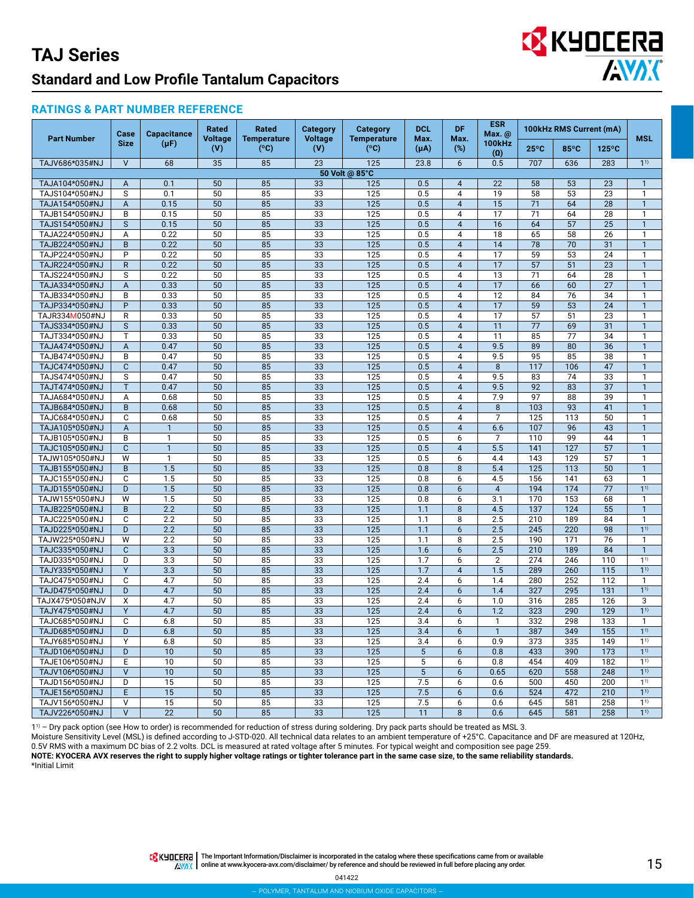## **EX KYOCERA ANDIC**

#### **RATINGS & PART NUMBER REFERENCE**

| <b>Part Number</b>               | Case<br><b>Size</b> | <b>Capacitance</b><br>$(\mu F)$ | Rated<br><b>Voltage</b><br>(V) | Rated<br><b>Temperature</b><br>(°C) | <b>Category</b><br><b>Voltage</b><br>(V) | <b>Category</b><br><b>Temperature</b><br>(°C) | <b>DCL</b><br>Max.<br>(μA) | DF.<br>Max.<br>$(\%)$ | <b>ESR</b><br>Max. @<br><b>100kHz</b><br>(0) | 100kHz RMS Current (mA) |                  |                       | <b>MSL</b>                   |
|----------------------------------|---------------------|---------------------------------|--------------------------------|-------------------------------------|------------------------------------------|-----------------------------------------------|----------------------------|-----------------------|----------------------------------------------|-------------------------|------------------|-----------------------|------------------------------|
|                                  |                     |                                 |                                |                                     |                                          |                                               |                            |                       |                                              | $25^{\circ}$ C          | 85°C             | $125^{\circ}$ C       |                              |
| TAJV686*035#NJ                   | $\vee$              | 68                              | 35                             | 85                                  | 23                                       | 125                                           | 23.8                       | 6                     | 0.5                                          | 707                     | 636              | 283                   | 1 <sup>1</sup>               |
|                                  |                     |                                 |                                |                                     |                                          | 50 Volt @ 85°C                                |                            |                       |                                              |                         |                  |                       |                              |
| TAJA104*050#NJ                   | A                   | 0.1                             | 50                             | 85                                  | 33                                       | 125                                           | 0.5                        | $\overline{4}$        | 22                                           | 58                      | 53               | 23                    | $\mathbf{1}$                 |
| TAJS104*050#NJ                   | S                   | 0.1                             | 50                             | 85                                  | 33                                       | 125                                           | 0.5                        | 4                     | 19                                           | $\overline{58}$         | 53               | 23                    | $\mathbf{1}$                 |
| TAJA154*050#NJ                   | A                   | 0.15                            | 50                             | 85                                  | $\overline{33}$                          | 125                                           | 0.5                        | $\overline{4}$        | 15                                           | 71                      | 64               | $\overline{28}$       | $\mathbf{1}$                 |
| TAJB154*050#NJ                   | B                   | 0.15                            | 50                             | 85                                  | 33                                       | 125                                           | 0.5                        | 4                     | 17                                           | 71                      | 64               | 28                    | $\mathbf{1}$                 |
| TAJS154*050#NJ                   | S                   | 0.15                            | 50                             | 85                                  | 33                                       | 125                                           | 0.5                        | $\overline{4}$        | 16                                           | 64                      | 57               | 25                    | $\overline{1}$               |
| TAJA224*050#NJ                   | Α                   | 0.22                            | 50                             | 85                                  | 33                                       | 125                                           | 0.5                        | 4                     | 18                                           | 65                      | 58               | 26                    | $\mathbf{1}$                 |
| TAJB224*050#NJ                   | B                   | 0.22                            | 50                             | 85                                  | 33                                       | 125                                           | 0.5                        | $\overline{4}$        | 14                                           | 78                      | 70               | 31                    | $\mathbf{1}$                 |
| TAJP224*050#NJ                   | P                   | 0.22                            | 50                             | 85                                  | 33                                       | 125                                           | 0.5                        | 4                     | 17                                           | 59                      | 53               | 24                    | $\mathbf{1}$                 |
| TAJR224*050#NJ                   | $\mathsf{R}$        | 0.22                            | 50                             | 85                                  | 33                                       | 125                                           | 0.5                        | $\overline{4}$        | 17                                           | 57                      | 51               | 23                    | $\mathbf{1}$                 |
| TAJS224*050#NJ                   | S                   | 0.22                            | 50                             | 85                                  | 33                                       | 125                                           | 0.5                        | 4                     | 13                                           | 71                      | 64               | 28                    | $\mathbf{1}$                 |
| TAJA334*050#NJ                   | A                   | 0.33                            | 50                             | 85                                  | 33                                       | 125                                           | 0.5                        | $\overline{4}$        | 17                                           | 66                      | 60               | $\overline{27}$       | $\mathbf{1}$                 |
| TAJB334*050#NJ                   | B                   | 0.33                            | 50                             | 85                                  | 33                                       | 125                                           | 0.5                        | 4                     | 12                                           | 84                      | 76               | 34                    | $\mathbf{1}$                 |
| TAJP334*050#NJ                   | P                   | 0.33                            | 50                             | 85                                  | 33                                       | 125                                           | 0.5                        | $\overline{4}$        | 17                                           | 59                      | 53               | 24                    | $\mathbf{1}$                 |
| TAJR334M050#NJ                   | R                   | 0.33                            | 50                             | 85                                  | 33                                       | 125                                           | 0.5                        | 4                     | 17                                           | 57                      | 51               | 23                    | $\mathbf{1}$                 |
| TAJS334*050#NJ                   | S                   | 0.33                            | 50                             | 85                                  | 33                                       | 125                                           | 0.5                        | $\overline{4}$        | 11                                           | 77                      | 69               | 31                    | $\mathbf{1}$                 |
| TAJT334*050#NJ                   | T                   | 0.33                            | 50                             | 85                                  | 33                                       | 125                                           | 0.5                        | 4                     | 11                                           | 85                      | 77               | 34                    | $\mathbf{1}$                 |
| TAJA474*050#NJ                   | A                   | 0.47                            | 50                             | 85                                  | 33                                       | 125                                           | 0.5                        | $\overline{4}$        | 9.5                                          | 89                      | 80               | 36                    | $\mathbf{1}$<br>$\mathbf{1}$ |
| TAJB474*050#NJ                   | B                   | 0.47                            | 50                             | 85                                  | 33                                       | 125                                           | 0.5                        | 4                     | 9.5                                          | 95                      | 85               | 38                    |                              |
| TAJC474*050#NJ<br>TAJS474*050#NJ | $\mathbf{C}$        | 0.47<br>0.47                    | 50<br>50                       | 85                                  | 33                                       | 125<br>125                                    | 0.5<br>0.5                 | $\overline{4}$<br>4   | 8<br>9.5                                     | 117<br>83               | 106<br>74        | 47                    | $\mathbf{1}$<br>$\mathbf{1}$ |
|                                  | S                   |                                 |                                | 85<br>$\overline{85}$               | 33                                       |                                               |                            | $\overline{4}$        | 9.5                                          | 92                      | $\overline{83}$  | 33<br>$\overline{37}$ | $\mathbf{1}$                 |
| TAJT474*050#NJ<br>TAJA684*050#NJ | T                   | 0.47<br>0.68                    | 50<br>50                       | 85                                  | 33<br>33                                 | 125<br>125                                    | 0.5<br>0.5                 | 4                     | 7.9                                          | 97                      | 88               | 39                    | $\mathbf{1}$                 |
| TAJB684*050#NJ                   | A<br>B              | 0.68                            | 50                             | 85                                  | 33                                       | 125                                           | 0.5                        | $\overline{4}$        | 8                                            | 103                     | 93               | 41                    | $\overline{1}$               |
| TAJC684*050#NJ                   | C                   | 0.68                            | 50                             | 85                                  | 33                                       | 125                                           | 0.5                        | 4                     | $\overline{7}$                               | 125                     | 113              | 50                    | $\mathbf{1}$                 |
| TAJA105*050#NJ                   | $\overline{A}$      | $\mathbf{1}$                    | 50                             | 85                                  | 33                                       | 125                                           | 0.5                        | $\overline{4}$        | 6.6                                          | 107                     | 96               | 43                    | $\mathbf{1}$                 |
| TAJB105*050#NJ                   | B                   | $\mathbf{1}$                    | 50                             | 85                                  | 33                                       | 125                                           | 0.5                        | 6                     | $\overline{7}$                               | 110                     | 99               | 44                    | 1                            |
| TAJC105*050#NJ                   | $\mathbf{C}$        | $\mathbf{1}$                    | 50                             | 85                                  | 33                                       | 125                                           | 0.5                        | $\overline{4}$        | 5.5                                          | 141                     | $\frac{127}{2}$  | 57                    | $\mathbf{1}$                 |
| TAJW105*050#NJ                   | W                   | $\mathbf{1}$                    | 50                             | 85                                  | 33                                       | 125                                           | 0.5                        | 6                     | 4.4                                          | 143                     | 129              | 57                    | 1                            |
| TAJB155*050#NJ                   | B                   | 1.5                             | 50                             | 85                                  | 33                                       | 125                                           | 0.8                        | 8                     | 5.4                                          | 125                     | $\frac{1}{13}$   | 50                    | $\mathbf{1}$                 |
| TAJC155*050#NJ                   | C                   | 1.5                             | 50                             | 85                                  | 33                                       | 125                                           | 0.8                        | 6                     | 4.5                                          | 156                     | 141              | 63                    | $\mathbf{1}$                 |
| TAJD155*050#NJ                   | D                   | 1.5                             | 50                             | 85                                  | 33                                       | $\frac{1}{125}$                               | 0.8                        | 6                     | $\overline{4}$                               | 194                     | 174              | 77                    | $\overline{1}$ <sup>1)</sup> |
| TAJW155*050#NJ                   | W                   | 1.5                             | 50                             | 85                                  | 33                                       | 125                                           | 0.8                        | 6                     | 3.1                                          | 170                     | 153              | 68                    | $\mathbf{1}$                 |
| TAJB225*050#NJ                   | B                   | $\overline{2.2}$                | 50                             | 85                                  | 33                                       | 125                                           | 1.1                        | 8                     | 4.5                                          | 137                     | 124              | $\overline{55}$       | $\mathbf{1}$                 |
| TAJC225*050#NJ                   | C                   | 2.2                             | 50                             | 85                                  | 33                                       | 125                                           | 1.1                        | 8                     | 2.5                                          | 210                     | 189              | 84                    | $\mathbf{1}$                 |
| TAJD225*050#NJ                   | D                   | 2.2                             | 50                             | 85                                  | 33                                       | $\frac{1}{125}$                               | 1.1                        | 6                     | 2.5                                          | 245                     | $\overline{220}$ | 98                    | 1 <sup>1</sup>               |
| TAJW225*050#NJ                   | W                   | 2.2                             | 50                             | 85                                  | 33                                       | 125                                           | 1.1                        | 8                     | 2.5                                          | 190                     | 171              | $\overline{76}$       | $\mathbf{1}$                 |
| TAJC335*050#NJ                   | $\mathbf{C}$        | 3.3                             | 50                             | $\overline{85}$                     | $\overline{33}$                          | $\overline{125}$                              | 1.6                        | 6                     | 2.5                                          | 210                     | 189              | $\overline{84}$       | $\overline{1}$               |
| TAJD335*050#NJ                   | D                   | 3.3                             | 50                             | $\overline{85}$                     | 33                                       | 125                                           | 1.7                        | 6                     | $\overline{2}$                               | 274                     | 246              | 110                   | 1 <sup>1</sup>               |
| TAJY335*050#NJ                   | Y                   | 3.3                             | 50                             | 85                                  | 33                                       | $\overline{125}$                              | 1.7                        | $\overline{4}$        | 1.5                                          | 289                     | 260              | $\overline{115}$      | $1^{1}$                      |
| TAJC475*050#NJ                   | C                   | 4.7                             | 50                             | 85                                  | 33                                       | 125                                           | 2.4                        | 6                     | 1.4                                          | 280                     | 252              | 112                   | $\mathbf{1}$                 |
| TAJD475*050#NJ                   | D                   | 4.7                             | 50                             | 85                                  | 33                                       | $\overline{125}$                              | 2.4                        | 6                     | 1.4                                          | 327                     | 295              | 131                   | $1^{1}$                      |
| TAJX475*050#NJV                  | X                   | 4.7                             | 50                             | 85                                  | 33                                       | 125                                           | 2.4                        | 6                     | 1.0                                          | 316                     | 285              | 126                   | $\overline{3}$               |
| TAJY475*050#NJ                   | Y                   | 4.7                             | 50                             | 85                                  | 33                                       | $\frac{1}{25}$                                | 2.4                        | 6                     | 1.2                                          | 323                     | 290              | 129                   | 1 <sup>1</sup>               |
| TAJC685*050#NJ                   | C                   | 6.8                             | 50                             | 85                                  | 33                                       | 125                                           | 3.4                        | 6                     | $\mathbf{1}$                                 | 332                     | 298              | 133                   | $\mathbf{1}$                 |
| TAJD685*050#NJ                   | D                   | 6.8                             | 50                             | 85                                  | 33                                       | 125                                           | 3.4                        | 6                     | $\mathbf{1}$                                 | 387                     | 349              | 155                   | $1^{1}$                      |
| TAJY685*050#NJ                   | Y                   | 6.8                             | 50                             | 85                                  | 33                                       | 125                                           | 3.4                        | 6                     | 0.9                                          | 373                     | 335              | 149                   | 1 <sup>1</sup>               |
| TAJD106*050#NJ                   | D                   | 10                              | 50                             | 85                                  | 33                                       | 125                                           | $5\phantom{.0}$            | 6                     | 0.8                                          | 433                     | 390              | 173                   | $1^{1}$                      |
| TAJE106*050#NJ                   | Ε                   | 10                              | 50                             | 85                                  | 33                                       | 125                                           | 5                          | 6                     | 0.8                                          | 454                     | 409              | 182                   | 1 <sup>1</sup>               |
| TAJV106*050#NJ                   | $\vee$              | 10                              | 50                             | 85                                  | 33                                       | 125                                           | 5                          | 6                     | 0.65                                         | 620                     | 558              | 248                   | $1^{1}$                      |
| TAJD156*050#NJ                   | D                   | 15                              | 50                             | 85                                  | 33                                       | 125                                           | 7.5                        | 6                     | 0.6                                          | 500                     | 450              | 200                   | $1^{1}$                      |
| TAJE156*050#NJ                   | E                   | 15                              | 50                             | 85                                  | 33                                       | 125                                           | 7.5                        | 6                     | 0.6                                          | 524                     | 472              | 210                   | 1 <sup>1</sup>               |
| TAJV156*050#NJ                   | V                   | 15                              | 50                             | 85                                  | 33                                       | 125                                           | 7.5                        | 6                     | 0.6                                          | 645                     | 581              | 258                   | 1 <sup>1</sup>               |
| TAJV226*050#NJ                   | $\vee$              | $\overline{22}$                 | $\overline{50}$                | 85                                  | 33                                       | $\overline{125}$                              | 11                         | 8                     | 0.6                                          | 645                     | 581              | 258                   | 1 <sup>1</sup>               |

11) – Dry pack option (see How to order) is recommended for reduction of stress during soldering. Dry pack parts should be treated as MSL 3.

Moisture Sensitivity Level (MSL) is defined according to J-STD-020. All technical data relates to an ambient temperature of +25°C. Capacitance and DF are measured at 120Hz,

0.5V RMS with a maximum DC bias of 2.2 volts. DCL is measured at rated voltage after 5 minutes. For typical weight and composition see page 259.

**NOTE: KYOCERA AVX reserves the right to supply higher voltage ratings or tighter tolerance part in the same case size, to the same reliability standards.**

\*Initial Limit

THE IMPO THE Important Information/Disclaimer is incorporated in the catalog where these specifications came from or available **AWAX** online at [www.kyocera-avx.com/disclaimer/](http://www.avx.com/disclaimer/) by reference and should be reviewed in full before placing any order.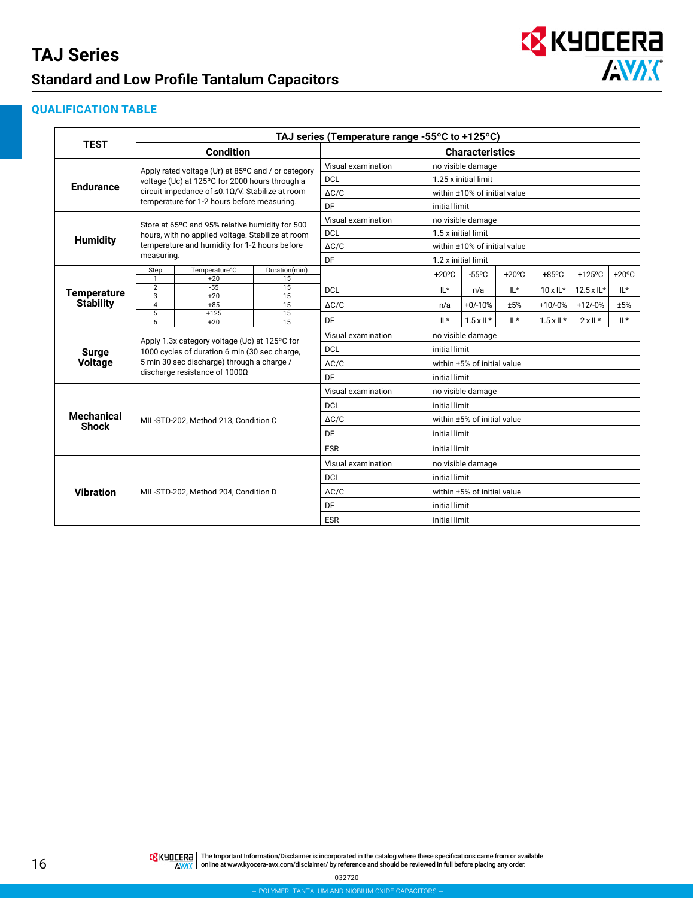

#### **QUALIFICATION TABLE**

|                                        | TAJ series (Temperature range -55°C to +125°C) |                                                                             |                       |                        |                   |                              |                  |                    |                 |                 |  |  |
|----------------------------------------|------------------------------------------------|-----------------------------------------------------------------------------|-----------------------|------------------------|-------------------|------------------------------|------------------|--------------------|-----------------|-----------------|--|--|
| <b>TEST</b>                            |                                                | <b>Condition</b>                                                            |                       | <b>Characteristics</b> |                   |                              |                  |                    |                 |                 |  |  |
|                                        |                                                | Apply rated voltage (Ur) at 85°C and / or category                          |                       | Visual examination     | no visible damage |                              |                  |                    |                 |                 |  |  |
| <b>Endurance</b>                       |                                                | voltage (Uc) at 125°C for 2000 hours through a                              |                       | <b>DCL</b>             |                   | 1.25 x initial limit         |                  |                    |                 |                 |  |  |
|                                        |                                                | circuit impedance of ≤0.1Ω/V. Stabilize at room                             |                       | $\triangle$ C/C        |                   | within ±10% of initial value |                  |                    |                 |                 |  |  |
|                                        |                                                | temperature for 1-2 hours before measuring.                                 |                       | DF                     |                   | initial limit                |                  |                    |                 |                 |  |  |
|                                        |                                                | Store at 65°C and 95% relative humidity for 500                             |                       | Visual examination     |                   | no visible damage            |                  |                    |                 |                 |  |  |
|                                        |                                                | hours, with no applied voltage. Stabilize at room                           |                       | <b>DCL</b>             |                   | 1.5 x initial limit          |                  |                    |                 |                 |  |  |
| <b>Humidity</b>                        |                                                | temperature and humidity for 1-2 hours before                               |                       | $\triangle$ C/C        |                   | within ±10% of initial value |                  |                    |                 |                 |  |  |
|                                        | measuring.                                     |                                                                             |                       | DF                     |                   | 1.2 x initial limit          |                  |                    |                 |                 |  |  |
|                                        | Step<br>1                                      | Temperature°C<br>$+20$                                                      | Duration(min)<br>15   |                        | $+20^{\circ}$ C   | $-55^{\circ}$ C              | $+20^{\circ}$ C  | $+85^{\circ}$ C    | $+125$ °C       | $+20^{\circ}$ C |  |  |
| <b>Temperature</b><br><b>Stability</b> | $\overline{2}$<br>$-55$                        | $\overline{15}$                                                             | <b>DCL</b>            | $IL*$                  | n/a               | $L^*$                        | $10 \times 1$ L* | $12.5 \times 11$ * | IL*             |                 |  |  |
|                                        | $\overline{3}$<br>$\overline{4}$               | $+20$<br>$+85$                                                              | 15<br>$\overline{15}$ | $\triangle$ C/C        | n/a               | $+0/-10%$                    | ±5%              | $+10/-0%$          | $+12/0%$        | ±5%             |  |  |
|                                        | 5                                              | $+125$                                                                      | 15                    |                        |                   |                              |                  |                    |                 |                 |  |  |
|                                        | 6                                              | $+20$                                                                       | $\overline{15}$       | DF                     | $IL*$             | $1.5 \times 1$ L*            | $L^*$            | $1.5 \times 1$ L*  | $2 \times 11^*$ | IL*             |  |  |
|                                        |                                                | Apply 1.3x category voltage (Uc) at 125°C for                               |                       | Visual examination     |                   | no visible damage            |                  |                    |                 |                 |  |  |
| <b>Surge</b>                           |                                                | 1000 cycles of duration 6 min (30 sec charge,                               |                       | <b>DCL</b>             |                   | initial limit                |                  |                    |                 |                 |  |  |
| <b>Voltage</b>                         |                                                | 5 min 30 sec discharge) through a charge /<br>discharge resistance of 1000Ω |                       | $\Delta C/C$           |                   | within ±5% of initial value  |                  |                    |                 |                 |  |  |
|                                        |                                                |                                                                             |                       | DF.                    |                   | initial limit                |                  |                    |                 |                 |  |  |
|                                        |                                                |                                                                             |                       | Visual examination     |                   | no visible damage            |                  |                    |                 |                 |  |  |
|                                        |                                                |                                                                             |                       | <b>DCL</b>             |                   | initial limit                |                  |                    |                 |                 |  |  |
| <b>Mechanical</b><br><b>Shock</b>      |                                                | MIL-STD-202, Method 213, Condition C                                        |                       | $\Delta C/C$           |                   | within ±5% of initial value  |                  |                    |                 |                 |  |  |
|                                        |                                                |                                                                             |                       | DF                     |                   | initial limit                |                  |                    |                 |                 |  |  |
|                                        |                                                |                                                                             |                       | <b>ESR</b>             |                   | initial limit                |                  |                    |                 |                 |  |  |
| <b>Vibration</b>                       |                                                |                                                                             |                       | Visual examination     |                   | no visible damage            |                  |                    |                 |                 |  |  |
|                                        |                                                |                                                                             |                       | <b>DCL</b>             |                   | initial limit                |                  |                    |                 |                 |  |  |
|                                        |                                                | MIL-STD-202, Method 204, Condition D                                        |                       | $\Delta C/C$           |                   | within ±5% of initial value  |                  |                    |                 |                 |  |  |
|                                        |                                                |                                                                             |                       | DF                     |                   | initial limit                |                  |                    |                 |                 |  |  |
|                                        |                                                |                                                                             |                       | <b>ESR</b>             |                   | initial limit                |                  |                    |                 |                 |  |  |